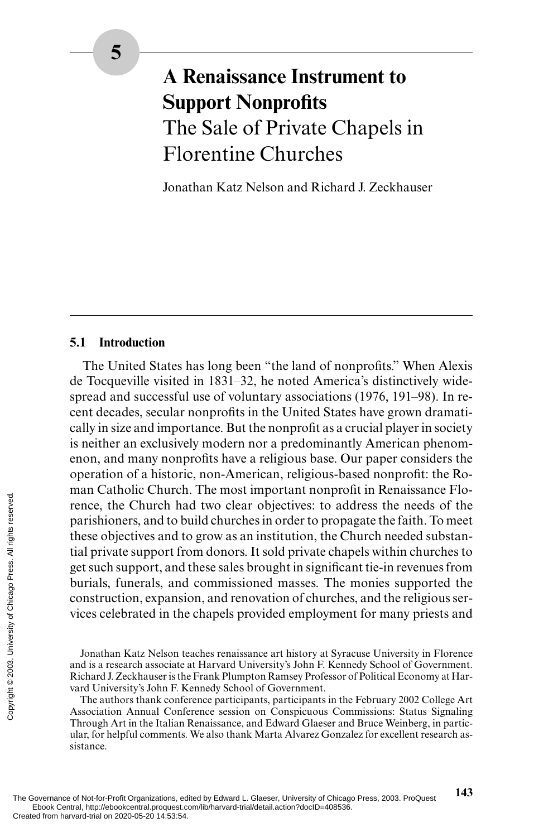# **A Renaissance Instrument to Support Nonprofits** The Sale of Private Chapels in Florentine Churches

Jonathan Katz Nelson and Richard J. Zeckhauser

## **5.1 Introduction**

The United States has long been "the land of nonprofits." When Alexis de Tocqueville visited in 1831–32, he noted America's distinctively widespread and successful use of voluntary associations (1976, 191–98). In recent decades, secular nonprofits in the United States have grown dramatically in size and importance. But the nonprofit as a crucial player in society is neither an exclusively modern nor a predominantly American phenomenon, and many nonprofits have a religious base. Our paper considers the operation of a historic, non-American, religious-based nonprofit: the Roman Catholic Church. The most important nonprofit in Renaissance Florence, the Church had two clear objectives: to address the needs of the parishioners, and to build churches in order to propagate the faith. To meet these objectives and to grow as an institution, the Church needed substantial private support from donors. It sold private chapels within churches to get such support, and these sales brought in significant tie-in revenues from burials, funerals, and commissioned masses. The monies supported the construction, expansion, and renovation of churches, and the religious services celebrated in the chapels provided employment for many priests and Fraction control control control control control control control control control on 2020-05-20 1<br>The Governance of Not-for-Profit Organizations, etc.<br>  $\frac{20}{20}$  and  $\frac{20}{20}$  construction, expansive vices celebrated i

Jonathan Katz Nelson teaches renaissance art history at Syracuse University in Florence and is a research associate at Harvard University's John F. Kennedy School of Government. Richard J. Zeckhauser is the Frank Plumpton Ramsey Professor of Political Economy at Harvard University's John F. Kennedy School of Government.

The authors thank conference participants, participants in the February 2002 College Art Association Annual Conference session on Conspicuous Commissions: Status Signaling Through Art in the Italian Renaissance, and Edward Glaeser and Bruce Weinberg, in particular, for helpful comments. We also thank Marta Alvarez Gonzalez for excellent research assistance.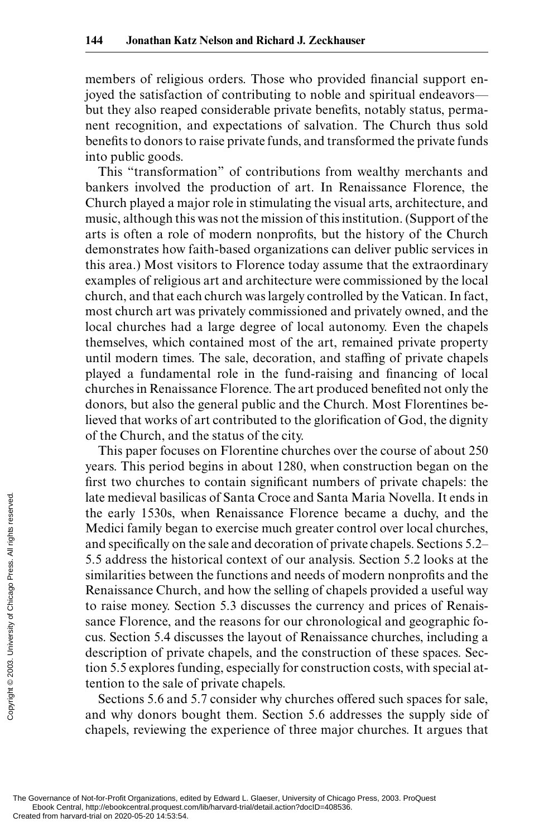members of religious orders. Those who provided financial support enjoyed the satisfaction of contributing to noble and spiritual endeavors but they also reaped considerable private benefits, notably status, permanent recognition, and expectations of salvation. The Church thus sold benefits to donors to raise private funds, and transformed the private funds into public goods.

This "transformation" of contributions from wealthy merchants and bankers involved the production of art. In Renaissance Florence, the Church played a major role in stimulating the visual arts, architecture, and music, although this was not the mission of this institution. (Support of the arts is often a role of modern nonprofits, but the history of the Church demonstrates how faith-based organizations can deliver public services in this area.) Most visitors to Florence today assume that the extraordinary examples of religious art and architecture were commissioned by the local church, and that each church was largely controlled by the Vatican. In fact, most church art was privately commissioned and privately owned, and the local churches had a large degree of local autonomy. Even the chapels themselves, which contained most of the art, remained private property until modern times. The sale, decoration, and staffing of private chapels played a fundamental role in the fund-raising and financing of local churches in Renaissance Florence. The art produced benefited not only the donors, but also the general public and the Church. Most Florentines believed that works of art contributed to the glorification of God, the dignity of the Church, and the status of the city.

This paper focuses on Florentine churches over the course of about 250 years. This period begins in about 1280, when construction began on the first two churches to contain significant numbers of private chapels: the late medieval basilicas of Santa Croce and Santa Maria Novella. It ends in the early 1530s, when Renaissance Florence became a duchy, and the Medici family began to exercise much greater control over local churches, and specifically on the sale and decoration of private chapels. Sections 5.2– 5.5 address the historical context of our analysis. Section 5.2 looks at the similarities between the functions and needs of modern nonprofits and the Renaissance Church, and how the selling of chapels provided a useful way to raise money. Section 5.3 discusses the currency and prices of Renaissance Florence, and the reasons for our chronological and geographic focus. Section 5.4 discusses the layout of Renaissance churches, including a description of private chapels, and the construction of these spaces. Section 5.5 explores funding, especially for construction costs, with special attention to the sale of private chapels. Fraction of Not-for-Profit Organizations, etched from harvard-trial on 2020-05-20-14:53:54. Created from harvard-trial on 2020-05-20-14:53:54. Created from harvard-trial on 2020-05-20-14:53:54.

Sections 5.6 and 5.7 consider why churches offered such spaces for sale, and why donors bought them. Section 5.6 addresses the supply side of chapels, reviewing the experience of three major churches. It argues that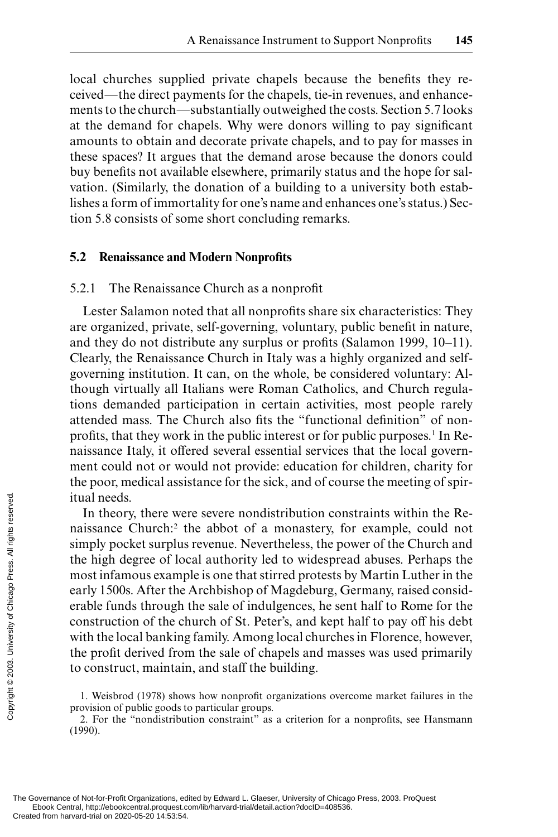local churches supplied private chapels because the benefits they received—the direct payments for the chapels, tie-in revenues, and enhancements to the church—substantially outweighed the costs. Section 5.7 looks at the demand for chapels. Why were donors willing to pay significant amounts to obtain and decorate private chapels, and to pay for masses in these spaces? It argues that the demand arose because the donors could buy benefits not available elsewhere, primarily status and the hope for salvation. (Similarly, the donation of a building to a university both establishes a form of immortality for one's name and enhances one's status.) Section 5.8 consists of some short concluding remarks.

#### **5.2 Renaissance and Modern Nonprofits**

#### 5.2.1 The Renaissance Church as a nonprofit

Lester Salamon noted that all nonprofits share six characteristics: They are organized, private, self-governing, voluntary, public benefit in nature, and they do not distribute any surplus or profits (Salamon 1999, 10–11). Clearly, the Renaissance Church in Italy was a highly organized and selfgoverning institution. It can, on the whole, be considered voluntary: Although virtually all Italians were Roman Catholics, and Church regulations demanded participation in certain activities, most people rarely attended mass. The Church also fits the "functional definition" of nonprofits, that they work in the public interest or for public purposes.<sup>1</sup> In Renaissance Italy, it offered several essential services that the local government could not or would not provide: education for children, charity for the poor, medical assistance for the sick, and of course the meeting of spiritual needs.

In theory, there were severe nondistribution constraints within the Renaissance Church:2 the abbot of a monastery, for example, could not simply pocket surplus revenue. Nevertheless, the power of the Church and the high degree of local authority led to widespread abuses. Perhaps the most infamous example is one that stirred protests by Martin Luther in the early 1500s. After the Archbishop of Magdeburg, Germany, raised considerable funds through the sale of indulgences, he sent half to Rome for the construction of the church of St. Peter's, and kept half to pay off his debt with the local banking family. Among local churches in Florence, however, the profit derived from the sale of chapels and masses was used primarily to construct, maintain, and staff the building. Fraction 1000 is the construction of the chicago Press. The Governance of Not-for-Profit Organizations, etched from havard-trial on 2020-05-20-14:53:54. Created from havard-trial on 2020-05-20-14:53:54.

The Governance of Not-for-Profit Organizations, edited by Edward L. Glaeser, University of Chicago Press, 2003. ProQuest Ebook Central, http://ebookcentral.proquest.com/lib/harvard-trial/detail.action?docID=408536.<br>Created from harvard-trial on 2020-05-20 14:53:54.

<sup>1.</sup> Weisbrod (1978) shows how nonprofit organizations overcome market failures in the provision of public goods to particular groups.

<sup>2.</sup> For the "nondistribution constraint" as a criterion for a nonprofits, see Hansmann (1990).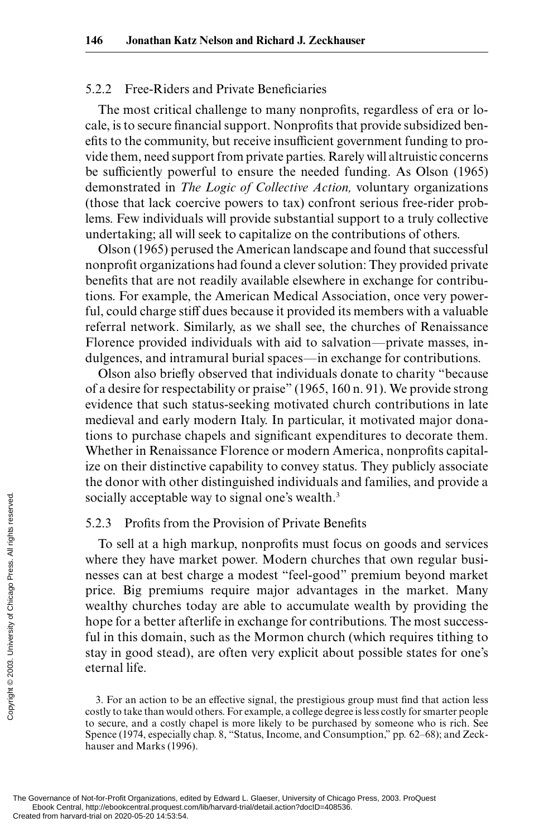## 5.2.2 Free-Riders and Private Beneficiaries

The most critical challenge to many nonprofits, regardless of era or locale, is to secure financial support. Nonprofits that provide subsidized benefits to the community, but receive insufficient government funding to provide them, need support from private parties. Rarely will altruistic concerns be sufficiently powerful to ensure the needed funding. As Olson (1965) demonstrated in *The Logic of Collective Action,* voluntary organizations (those that lack coercive powers to tax) confront serious free-rider problems. Few individuals will provide substantial support to a truly collective undertaking; all will seek to capitalize on the contributions of others.

Olson (1965) perused the American landscape and found that successful nonprofit organizations had found a clever solution: They provided private benefits that are not readily available elsewhere in exchange for contributions. For example, the American Medical Association, once very powerful, could charge stiff dues because it provided its members with a valuable referral network. Similarly, as we shall see, the churches of Renaissance Florence provided individuals with aid to salvation—private masses, indulgences, and intramural burial spaces—in exchange for contributions.

Olson also briefly observed that individuals donate to charity "because of a desire for respectability or praise" (1965, 160 n. 91). We provide strong evidence that such status-seeking motivated church contributions in late medieval and early modern Italy. In particular, it motivated major donations to purchase chapels and significant expenditures to decorate them. Whether in Renaissance Florence or modern America, nonprofits capitalize on their distinctive capability to convey status. They publicly associate the donor with other distinguished individuals and families, and provide a socially acceptable way to signal one's wealth.<sup>3</sup>

# 5.2.3 Profits from the Provision of Private Benefits

To sell at a high markup, nonprofits must focus on goods and services where they have market power. Modern churches that own regular businesses can at best charge a modest "feel-good" premium beyond market price. Big premiums require major advantages in the market. Many wealthy churches today are able to accumulate wealth by providing the hope for a better afterlife in exchange for contributions. The most successful in this domain, such as the Mormon church (which requires tithing to stay in good stead), are often very explicit about possible states for one's eternal life. Fraction 1972<br>
Created from havard-trial on 2020-05-20-14:53:54.<br>
The Governance of Not-for-Profit Organizations, etc.<br>
Experience of Not-for-Profit Organizations, etc.<br>
Experience of Not-for-Profit Organizations, etc.<br>
E

3. For an action to be an effective signal, the prestigious group must find that action less costly to take than would others. For example, a college degree is less costly for smarter people to secure, and a costly chapel is more likely to be purchased by someone who is rich. See Spence (1974, especially chap. 8, "Status, Income, and Consumption," pp. 62–68); and Zeckhauser and Marks (1996).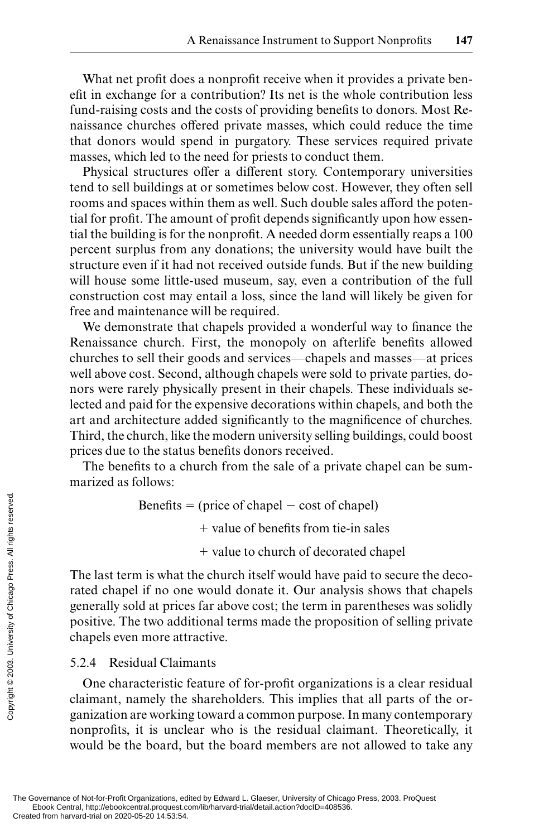What net profit does a nonprofit receive when it provides a private benefit in exchange for a contribution? Its net is the whole contribution less fund-raising costs and the costs of providing benefits to donors. Most Renaissance churches offered private masses, which could reduce the time that donors would spend in purgatory. These services required private masses, which led to the need for priests to conduct them.

Physical structures offer a different story. Contemporary universities tend to sell buildings at or sometimes below cost. However, they often sell rooms and spaces within them as well. Such double sales afford the potential for profit. The amount of profit depends significantly upon how essential the building is for the nonprofit. A needed dorm essentially reaps a 100 percent surplus from any donations; the university would have built the structure even if it had not received outside funds. But if the new building will house some little-used museum, say, even a contribution of the full construction cost may entail a loss, since the land will likely be given for free and maintenance will be required.

We demonstrate that chapels provided a wonderful way to finance the Renaissance church. First, the monopoly on afterlife benefits allowed churches to sell their goods and services—chapels and masses—at prices well above cost. Second, although chapels were sold to private parties, donors were rarely physically present in their chapels. These individuals selected and paid for the expensive decorations within chapels, and both the art and architecture added significantly to the magnificence of churches. Third, the church, like the modern university selling buildings, could boost prices due to the status benefits donors received.

The benefits to a church from the sale of a private chapel can be summarized as follows:

 $Benefits = (price of chapel - cost of chapel)$ 

 $+$  value of benefits from tie-in sales

+ value to church of decorated chapel

The last term is what the church itself would have paid to secure the decorated chapel if no one would donate it. Our analysis shows that chapels generally sold at prices far above cost; the term in parentheses was solidly positive. The two additional terms made the proposition of selling private chapels even more attractive. Example 1<br>
Example 1<br>
Created chapel if no one<br>
generally sold at price<br>
positive. The two add<br>
chapels even more att<br>
5.2.4 Residual Clain<br>
One characteristic is<br>
claimant, namely the<br>
ganization are workin<br>
nonprofits,

# 5.2.4 Residual Claimants

One characteristic feature of for-profit organizations is a clear residual claimant, namely the shareholders. This implies that all parts of the organization are working toward a common purpose. In many contemporary nonprofits, it is unclear who is the residual claimant. Theoretically, it would be the board, but the board members are not allowed to take any

The Governance of Not-for-Profit Organizations, edited by Edward L. Glaeser, University of Chicago Press, 2003. ProQuest Ebook Central, http://ebookcentral.proquest.com/lib/harvard-trial/detail.action?docID=408536.<br>Created from harvard-trial on 2020-05-20 14:53:54.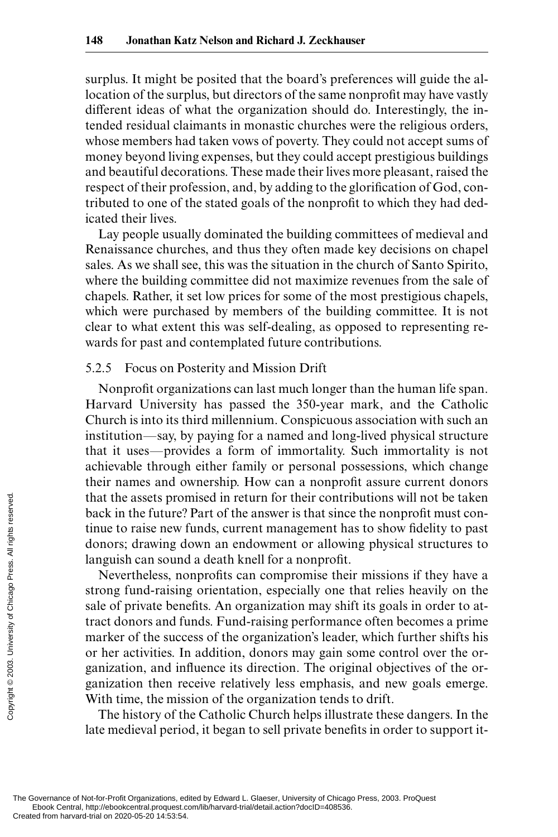surplus. It might be posited that the board's preferences will guide the allocation of the surplus, but directors of the same nonprofit may have vastly different ideas of what the organization should do. Interestingly, the intended residual claimants in monastic churches were the religious orders, whose members had taken vows of poverty. They could not accept sums of money beyond living expenses, but they could accept prestigious buildings and beautiful decorations. These made their lives more pleasant, raised the respect of their profession, and, by adding to the glorification of God, contributed to one of the stated goals of the nonprofit to which they had dedicated their lives.

Lay people usually dominated the building committees of medieval and Renaissance churches, and thus they often made key decisions on chapel sales. As we shall see, this was the situation in the church of Santo Spirito, where the building committee did not maximize revenues from the sale of chapels. Rather, it set low prices for some of the most prestigious chapels, which were purchased by members of the building committee. It is not clear to what extent this was self-dealing, as opposed to representing rewards for past and contemplated future contributions.

#### 5.2.5 Focus on Posterity and Mission Drift

Nonprofit organizations can last much longer than the human life span. Harvard University has passed the 350-year mark, and the Catholic Church is into its third millennium. Conspicuous association with such an institution—say, by paying for a named and long-lived physical structure that it uses—provides a form of immortality. Such immortality is not achievable through either family or personal possessions, which change their names and ownership. How can a nonprofit assure current donors that the assets promised in return for their contributions will not be taken back in the future? Part of the answer is that since the nonprofit must continue to raise new funds, current management has to show fidelity to past donors; drawing down an endowment or allowing physical structures to languish can sound a death knell for a nonprofit.

Nevertheless, nonprofits can compromise their missions if they have a strong fund-raising orientation, especially one that relies heavily on the sale of private benefits. An organization may shift its goals in order to attract donors and funds. Fund-raising performance often becomes a prime marker of the success of the organization's leader, which further shifts his or her activities. In addition, donors may gain some control over the organization, and influence its direction. The original objectives of the organization then receive relatively less emphasis, and new goals emerge. With time, the mission of the organization tends to drift. Exerces of Not-for-Profit Organizations, etch<br>
Created from harvard-trial on 2020-05-20-14:53:54.<br>
The Governance of Not-for-Profit Organizations, etch<br>
Created from harvard-trial on 2020-05-20-14:53:54.<br>
Created from harv

The history of the Catholic Church helps illustrate these dangers. In the late medieval period, it began to sell private benefits in order to support it-

The Governance of Not-for-Profit Organizations, edited by Edward L. Glaeser, University of Chicago Press, 2003. ProQuest Ebook Central, http://ebookcentral.proquest.com/lib/harvard-trial/detail.action?docID=408536.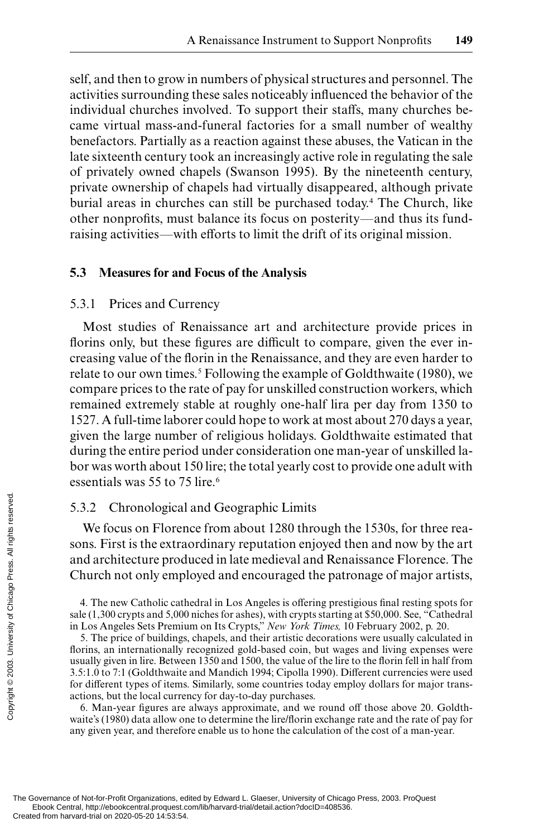self, and then to grow in numbers of physical structures and personnel. The activities surrounding these sales noticeably influenced the behavior of the individual churches involved. To support their staffs, many churches became virtual mass-and-funeral factories for a small number of wealthy benefactors. Partially as a reaction against these abuses, the Vatican in the late sixteenth century took an increasingly active role in regulating the sale of privately owned chapels (Swanson 1995). By the nineteenth century, private ownership of chapels had virtually disappeared, although private burial areas in churches can still be purchased today.<sup>4</sup> The Church, like other nonprofits, must balance its focus on posterity—and thus its fundraising activities—with efforts to limit the drift of its original mission.

#### **5.3 Measures for and Focus of the Analysis**

## 5.3.1 Prices and Currency

Most studies of Renaissance art and architecture provide prices in florins only, but these figures are difficult to compare, given the ever increasing value of the florin in the Renaissance, and they are even harder to relate to our own times.<sup>5</sup> Following the example of Goldthwaite (1980), we compare prices to the rate of pay for unskilled construction workers, which remained extremely stable at roughly one-half lira per day from 1350 to 1527. A full-time laborer could hope to work at most about 270 days a year, given the large number of religious holidays. Goldthwaite estimated that during the entire period under consideration one man-year of unskilled labor was worth about 150 lire; the total yearly cost to provide one adult with essentials was 55 to 75 lire.<sup>6</sup>

# 5.3.2 Chronological and Geographic Limits

We focus on Florence from about 1280 through the 1530s, for three reasons. First is the extraordinary reputation enjoyed then and now by the art and architecture produced in late medieval and Renaissance Florence. The Church not only employed and encouraged the patronage of major artists,

4. The new Catholic cathedral in Los Angeles is offering prestigious final resting spots for sale (1,300 crypts and 5,000 niches for ashes), with crypts starting at \$50,000. See, "Cathedral in Los Angeles Sets Premium on Its Crypts," *New York Times,* 10 February 2002, p. 20.

5. The price of buildings, chapels, and their artistic decorations were usually calculated in florins, an internationally recognized gold-based coin, but wages and living expenses were usually given in lire. Between 1350 and 1500, the value of the lire to the florin fell in half from 3.5:1.0 to 7:1 (Goldthwaite and Mandich 1994; Cipolla 1990). Different currencies were used for different types of items. Similarly, some countries today employ dollars for major transactions, but the local currency for day-to-day purchases. Example 1<br>
Soms. First is the extra<br>
soms. First is the extra<br>
and architecture prod<br>
Church not only empl<br>  $\frac{20}{200}$ <br>
4. The new Catholic cath<br>
sale (1,300 crypts and 5,000<br>
in Los Angeles Sets Premiu<br>
5. The price of

6. Man-year figures are always approximate, and we round off those above 20. Goldthwaite's (1980) data allow one to determine the lire/florin exchange rate and the rate of pay for any given year, and therefore enable us to hone the calculation of the cost of a man-year.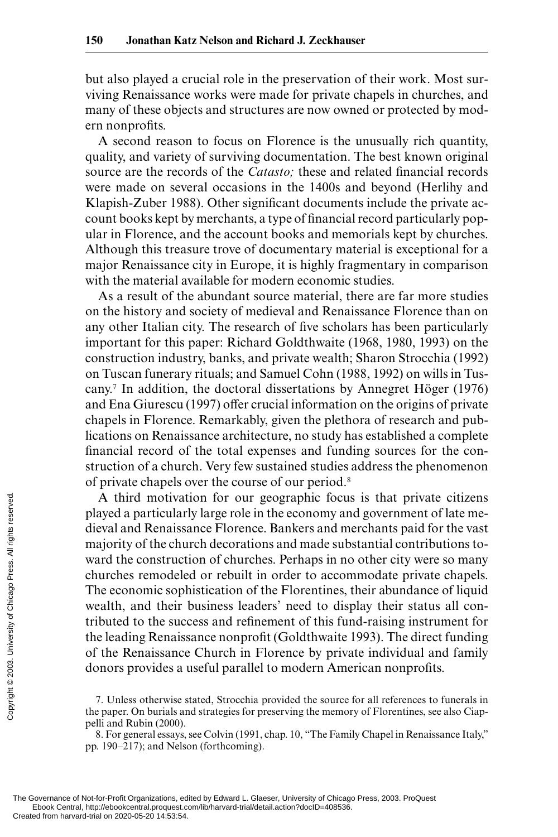but also played a crucial role in the preservation of their work. Most surviving Renaissance works were made for private chapels in churches, and many of these objects and structures are now owned or protected by modern nonprofits.

A second reason to focus on Florence is the unusually rich quantity, quality, and variety of surviving documentation. The best known original source are the records of the *Catasto;* these and related financial records were made on several occasions in the 1400s and beyond (Herlihy and Klapish-Zuber 1988). Other significant documents include the private account books kept by merchants, a type of financial record particularly popular in Florence, and the account books and memorials kept by churches. Although this treasure trove of documentary material is exceptional for a major Renaissance city in Europe, it is highly fragmentary in comparison with the material available for modern economic studies.

As a result of the abundant source material, there are far more studies on the history and society of medieval and Renaissance Florence than on any other Italian city. The research of five scholars has been particularly important for this paper: Richard Goldthwaite (1968, 1980, 1993) on the construction industry, banks, and private wealth; Sharon Strocchia (1992) on Tuscan funerary rituals; and Samuel Cohn (1988, 1992) on wills in Tuscany.7 In addition, the doctoral dissertations by Annegret Höger (1976) and Ena Giurescu (1997) offer crucial information on the origins of private chapels in Florence. Remarkably, given the plethora of research and publications on Renaissance architecture, no study has established a complete financial record of the total expenses and funding sources for the construction of a church. Very few sustained studies address the phenomenon of private chapels over the course of our period.8

A third motivation for our geographic focus is that private citizens played a particularly large role in the economy and government of late medieval and Renaissance Florence. Bankers and merchants paid for the vast majority of the church decorations and made substantial contributions toward the construction of churches. Perhaps in no other city were so many churches remodeled or rebuilt in order to accommodate private chapels. The economic sophistication of the Florentines, their abundance of liquid wealth, and their business leaders' need to display their status all contributed to the success and refinement of this fund-raising instrument for the leading Renaissance nonprofit (Goldthwaite 1993). The direct funding of the Renaissance Church in Florence by private individual and family donors provides a useful parallel to modern American nonprofits. Exerces the contral on 2020-05-20 14:53:54. Created from harvard-trial on 2020-05-20 14:53:54. Created from harvard-trial on 2020-05-20 14:53:54. Created from harvard-trial on 2020-05-20 14:53:54. Created from harvard-tri

<sup>7.</sup> Unless otherwise stated, Strocchia provided the source for all references to funerals in the paper. On burials and strategies for preserving the memory of Florentines, see also Ciappelli and Rubin (2000).

<sup>8.</sup> For general essays, see Colvin (1991, chap. 10, "The Family Chapel in Renaissance Italy," pp. 190–217); and Nelson (forthcoming).

The Governance of Not-for-Profit Organizations, edited by Edward L. Glaeser, University of Chicago Press, 2003. ProQuest Ebook Central, http://ebookcentral.proquest.com/lib/harvard-trial/detail.action?docID=408536.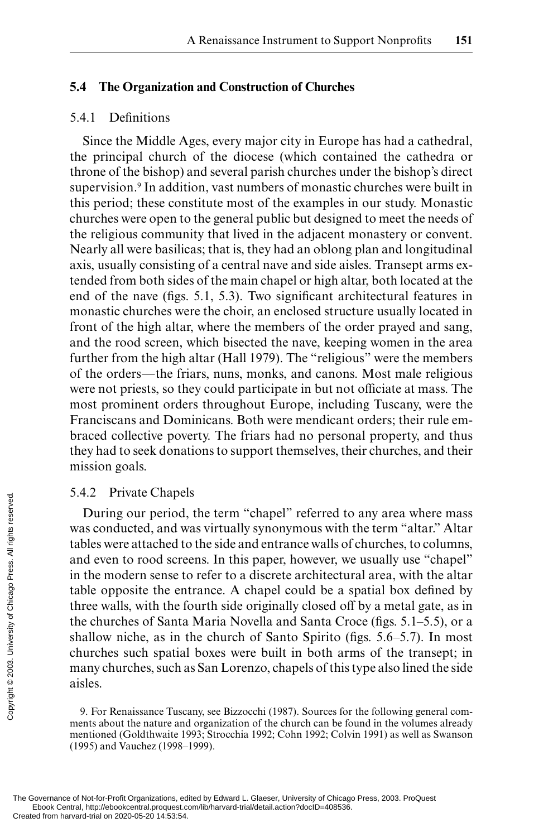# **5.4 The Organization and Construction of Churches**

#### 5.4.1 Definitions

Since the Middle Ages, every major city in Europe has had a cathedral, the principal church of the diocese (which contained the cathedra or throne of the bishop) and several parish churches under the bishop's direct supervision.<sup>9</sup> In addition, vast numbers of monastic churches were built in this period; these constitute most of the examples in our study. Monastic churches were open to the general public but designed to meet the needs of the religious community that lived in the adjacent monastery or convent. Nearly all were basilicas; that is, they had an oblong plan and longitudinal axis, usually consisting of a central nave and side aisles. Transept arms extended from both sides of the main chapel or high altar, both located at the end of the nave (figs. 5.1, 5.3). Two significant architectural features in monastic churches were the choir, an enclosed structure usually located in front of the high altar, where the members of the order prayed and sang, and the rood screen, which bisected the nave, keeping women in the area further from the high altar (Hall 1979). The "religious" were the members of the orders—the friars, nuns, monks, and canons. Most male religious were not priests, so they could participate in but not officiate at mass. The most prominent orders throughout Europe, including Tuscany, were the Franciscans and Dominicans. Both were mendicant orders; their rule embraced collective poverty. The friars had no personal property, and thus they had to seek donations to support themselves, their churches, and their mission goals.

#### 5.4.2 Private Chapels

During our period, the term "chapel" referred to any area where mass was conducted, and was virtually synonymous with the term "altar." Altar tables were attached to the side and entrance walls of churches, to columns, and even to rood screens. In this paper, however, we usually use "chapel" in the modern sense to refer to a discrete architectural area, with the altar table opposite the entrance. A chapel could be a spatial box defined by three walls, with the fourth side originally closed off by a metal gate, as in the churches of Santa Maria Novella and Santa Croce (figs. 5.1–5.5), or a shallow niche, as in the church of Santo Spirito (figs. 5.6–5.7). In most churches such spatial boxes were built in both arms of the transept; in many churches, such as San Lorenzo, chapels of this type also lined the side aisles. CREATE THE COVET ALL THAT CONDUCTER THE COVET ALL THE COVERANCE CREATED (THE CONDUCTION THE COVERANCE CREATED (THE COVERANCE CREATED (THE COVERANCE CREATED (THE COVERANCE) CREATED (THE COVERANCE CREATED (THE COVERANCE) CR

9. For Renaissance Tuscany, see Bizzocchi (1987). Sources for the following general comments about the nature and organization of the church can be found in the volumes already mentioned (Goldthwaite 1993; Strocchia 1992; Cohn 1992; Colvin 1991) as well as Swanson (1995) and Vauchez (1998–1999).

The Governance of Not-for-Profit Organizations, edited by Edward L. Glaeser, University of Chicago Press, 2003. ProQuest Ebook Central, http://ebookcentral.proquest.com/lib/harvard-trial/detail.action?docID=408536.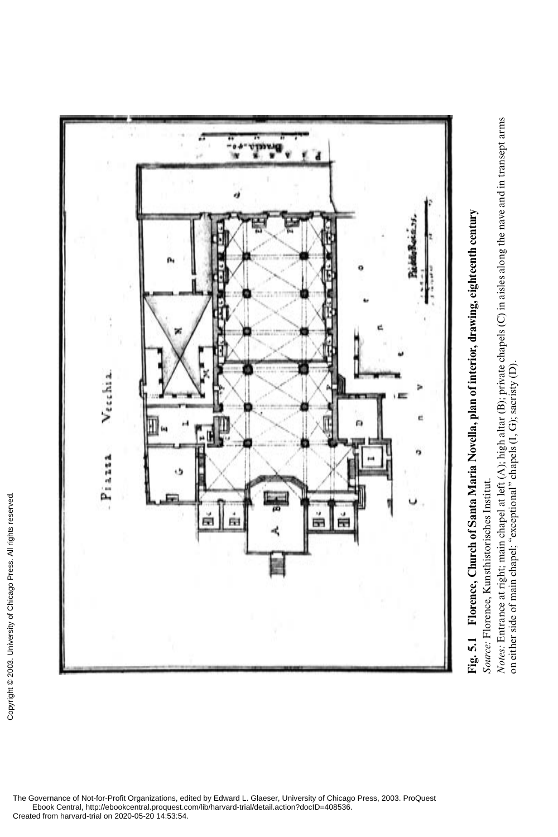



Source: Florence, Kunsthistorisches Institut. *Source:* Florence, Kunsthistorisches Institut.

Notes: Entrance at right; main chapel at left (A); high altar (B); private chapels (C) in aisles along the nave and in transept arms *Notes:* Entrance at right; main chapel at left (A); high altar (B); private chapels (C) in aisles along the nave and in transept arms on either side of main chapel; "exceptional" chapels (I, G); sacristy (D). on either side of main chapel; "exceptional" chapels (I, G); sacristy (D).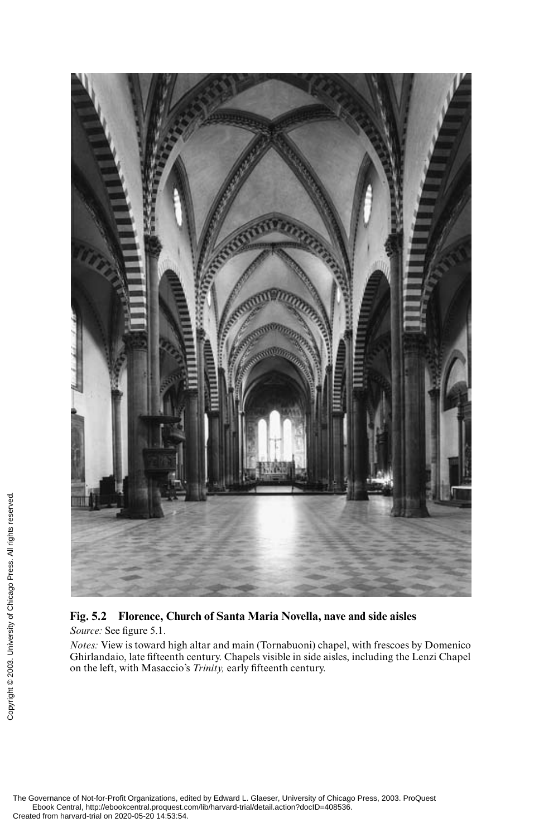

# **Fig. 5.2 Florence, Church of Santa Maria Novella, nave and side aisles**

*Source:* See figure 5.1.

*Notes:* View is toward high altar and main (Tornabuoni) chapel, with frescoes by Domenico Ghirlandaio, late fifteenth century. Chapels visible in side aisles, including the Lenzi Chapel on the left, with Masaccio's *Trinity,* early fifteenth century.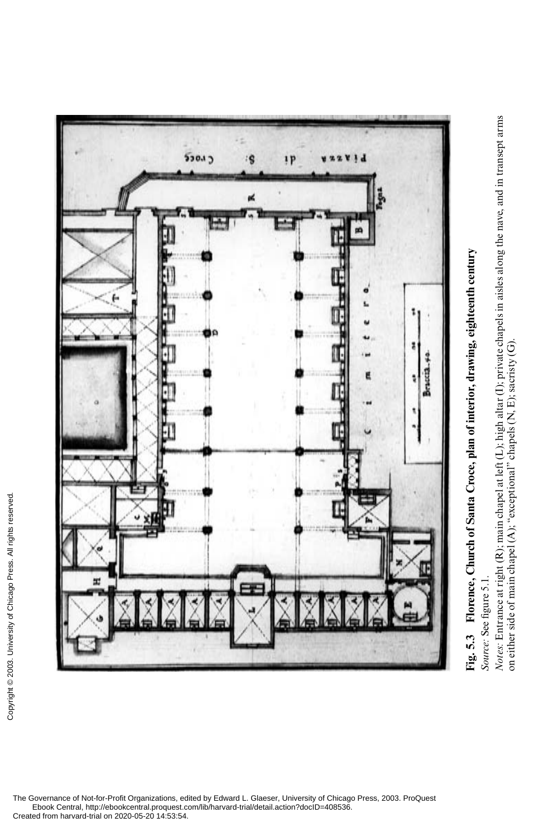



Notes: Entrance at right (R); main chapel at left (L); high altar (I); private chapels in aisles along the nave, and in transept arms *Notes:* Entrance at right (R); main chapel at left (L); high altar (I); private chapels in aisles along the nave, and in transept arms on either side of main chapel (A); "exceptional" chapels (N, E); sacristy (G). on either side of main chapel (A); "exceptional" chapels (N, E); sacristy (G).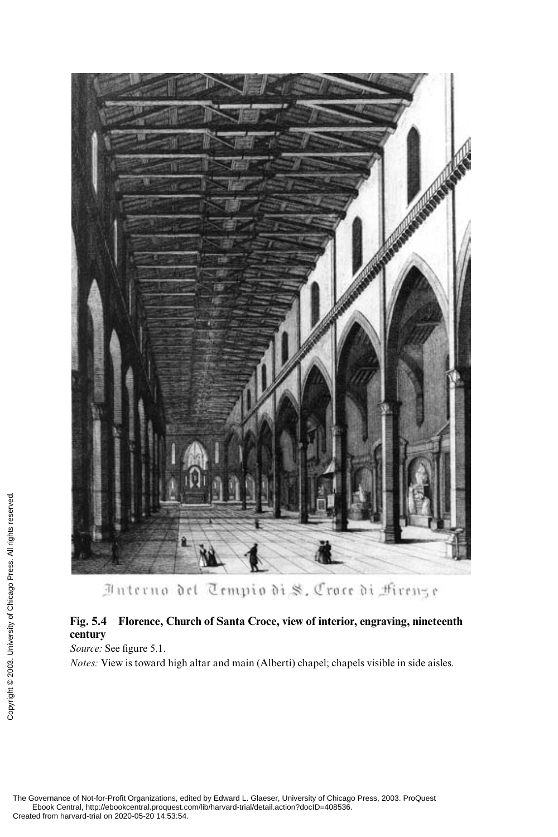

# **Fig. 5.4 Florence, Church of Santa Croce, view of interior, engraving, nineteenth century**

*Source:* See figure 5.1.

*Notes:* View is toward high altar and main (Alberti) chapel; chapels visible in side aisles.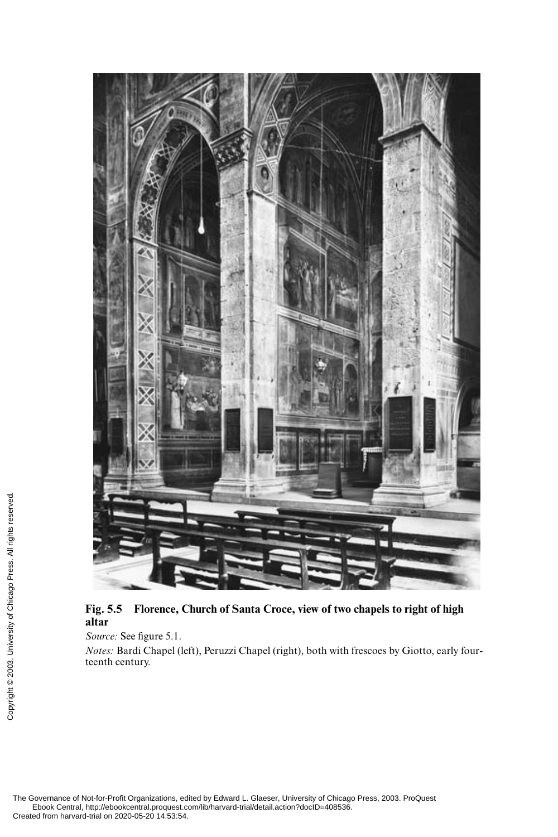

# **Fig. 5.5 Florence, Church of Santa Croce, view of two chapels to right of high altar**

*Source:* See figure 5.1.

*Notes:* Bardi Chapel (left), Peruzzi Chapel (right), both with frescoes by Giotto, early fourteenth century.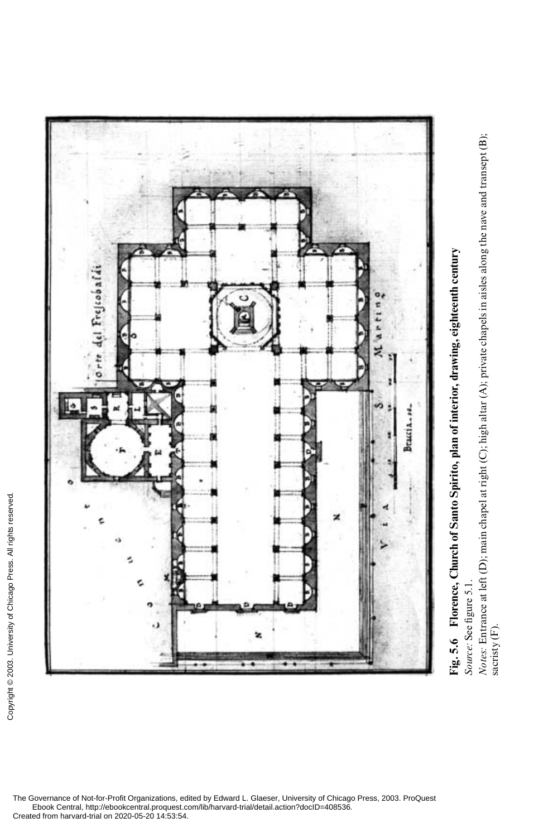



Notes: Entrance at left (D); main chapel at right (C); high altar (A); private chapels in aisles along the nave and transept (B); *Notes:* Entrance at left (D); main chapel at right (C); high altar (A); private chapels in aisles along the nave and transept (B); sacristy (F). sacristy (F).

The Governance of Not-for-Profit Organizations, edited by Edward L. Glaeser, University of Chicago Press, 2003. ProQuest Ebook Central, http://ebookcentral.proquest.com/lib/harvard-trial/detail.action?docID=408536.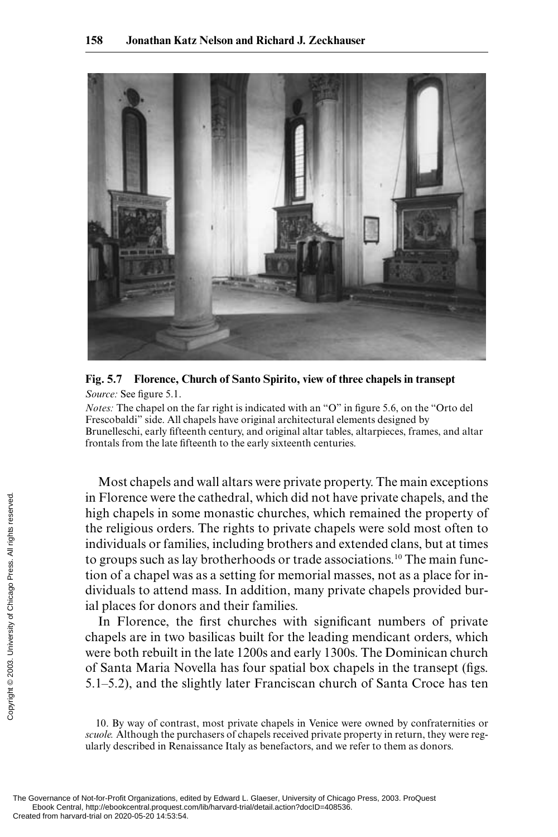

**Fig. 5.7 Florence, Church of Santo Spirito, view of three chapels in transept** *Source:* See figure 5.1.

*Notes:* The chapel on the far right is indicated with an "O" in figure 5.6, on the "Orto del Frescobaldi" side. All chapels have original architectural elements designed by Brunelleschi, early fifteenth century, and original altar tables, altarpieces, frames, and altar frontals from the late fifteenth to the early sixteenth centuries.

Most chapels and wall altars were private property. The main exceptions in Florence were the cathedral, which did not have private chapels, and the high chapels in some monastic churches, which remained the property of the religious orders. The rights to private chapels were sold most often to individuals or families, including brothers and extended clans, but at times to groups such as lay brotherhoods or trade associations.10 The main function of a chapel was as a setting for memorial masses, not as a place for individuals to attend mass. In addition, many private chapels provided burial places for donors and their families. Fraction control contrights in Schemar<br>
The religious orders<br>
individuals or fami<br>
to groups such as la<br>
tion of a chapel wa<br>
dividuals to attend<br>
ial places for donor<br>
In Florence, the<br>
chapels are in two<br>
were both rebu

In Florence, the first churches with significant numbers of private chapels are in two basilicas built for the leading mendicant orders, which were both rebuilt in the late 1200s and early 1300s. The Dominican church of Santa Maria Novella has four spatial box chapels in the transept (figs. 5.1–5.2), and the slightly later Franciscan church of Santa Croce has ten

The Governance of Not-for-Profit Organizations, edited by Edward L. Glaeser, University of Chicago Press, 2003. ProQuest Ebook Central, http://ebookcentral.proquest.com/lib/harvard-trial/detail.action?docID=408536.<br>Created from harvard-trial on 2020-05-20 14:53:54.

<sup>10.</sup> By way of contrast, most private chapels in Venice were owned by confraternities or *scuole.* Although the purchasers of chapels received private property in return, they were regularly described in Renaissance Italy as benefactors, and we refer to them as donors.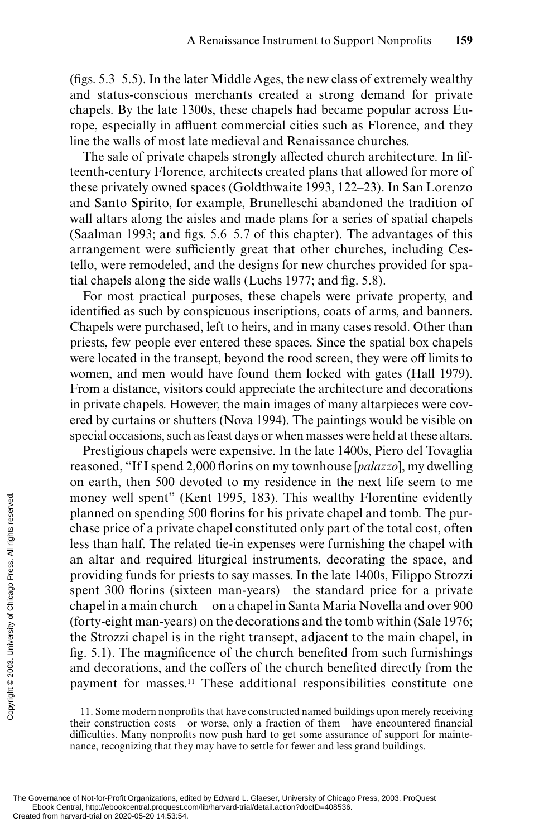(figs. 5.3–5.5). In the later Middle Ages, the new class of extremely wealthy and status-conscious merchants created a strong demand for private chapels. By the late 1300s, these chapels had became popular across Europe, especially in affluent commercial cities such as Florence, and they line the walls of most late medieval and Renaissance churches.

The sale of private chapels strongly affected church architecture. In fifteenth-century Florence, architects created plans that allowed for more of these privately owned spaces (Goldthwaite 1993, 122–23). In San Lorenzo and Santo Spirito, for example, Brunelleschi abandoned the tradition of wall altars along the aisles and made plans for a series of spatial chapels (Saalman 1993; and figs. 5.6–5.7 of this chapter). The advantages of this arrangement were sufficiently great that other churches, including Cestello, were remodeled, and the designs for new churches provided for spatial chapels along the side walls (Luchs 1977; and fig. 5.8).

For most practical purposes, these chapels were private property, and identified as such by conspicuous inscriptions, coats of arms, and banners. Chapels were purchased, left to heirs, and in many cases resold. Other than priests, few people ever entered these spaces. Since the spatial box chapels were located in the transept, beyond the rood screen, they were off limits to women, and men would have found them locked with gates (Hall 1979). From a distance, visitors could appreciate the architecture and decorations in private chapels. However, the main images of many altarpieces were covered by curtains or shutters (Nova 1994). The paintings would be visible on special occasions, such as feast days or when masses were held at these altars.

Prestigious chapels were expensive. In the late 1400s, Piero del Tovaglia reasoned, "If I spend 2,000 florins on my townhouse [*palazzo*], my dwelling on earth, then 500 devoted to my residence in the next life seem to me money well spent" (Kent 1995, 183). This wealthy Florentine evidently planned on spending 500 florins for his private chapel and tomb. The purchase price of a private chapel constituted only part of the total cost, often less than half. The related tie-in expenses were furnishing the chapel with an altar and required liturgical instruments, decorating the space, and providing funds for priests to say masses. In the late 1400s, Filippo Strozzi spent 300 florins (sixteen man-years)—the standard price for a private chapel in a main church—on a chapel in Santa Maria Novella and over 900 (forty-eight man-years) on the decorations and the tomb within (Sale 1976; the Strozzi chapel is in the right transept, adjacent to the main chapel, in fig. 5.1). The magnificence of the church benefited from such furnishings and decorations, and the coffers of the church benefited directly from the payment for masses.<sup>11</sup> These additional responsibilities constitute one From the covernance of Not-for-Profit Organizations, etchcome created from harvard-trial on 2020-05-20-14:53:54. Created from harvard-trial on 2020-05-20-14:53:54. Created from harvard-trial on 2020-05-20-14:53:54.

11. Some modern nonprofits that have constructed named buildings upon merely receiving their construction costs—or worse, only a fraction of them—have encountered financial difficulties. Many nonprofits now push hard to get some assurance of support for maintenance, recognizing that they may have to settle for fewer and less grand buildings.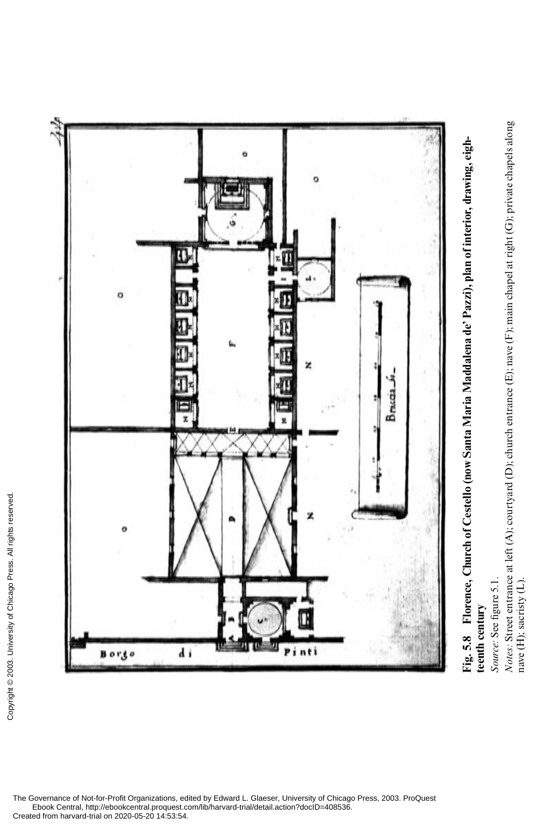



*Notes:* Street entrance at left (A); courtyard (D); church entrance (E); nave (F); main chapel at right (G); private chapels along

Notes: Street entrance at left (A); courtyard (D); church entrance (E); nave (F); main chapel at right (G); private chapels along

Source: See figure 5.1. *Source:* See figure 5.1.

nave (H); sacristy (L).

nave (H); sacristy (L).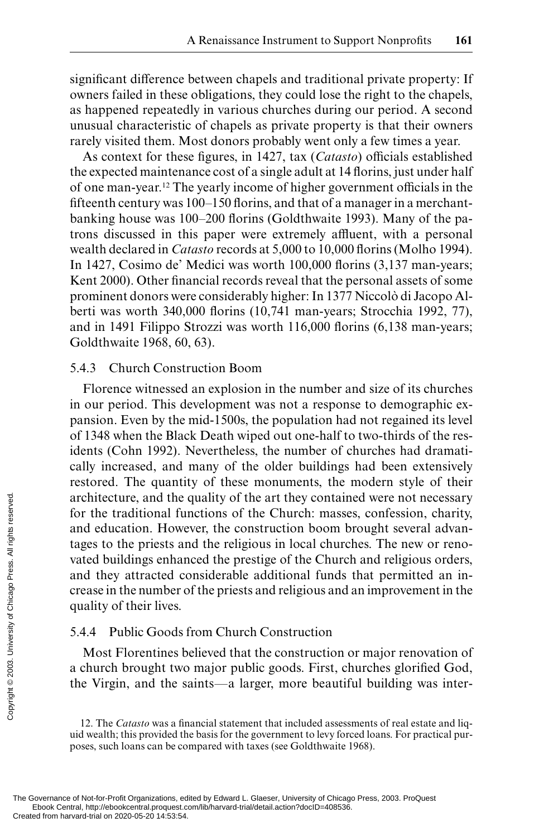significant difference between chapels and traditional private property: If owners failed in these obligations, they could lose the right to the chapels, as happened repeatedly in various churches during our period. A second unusual characteristic of chapels as private property is that their owners rarely visited them. Most donors probably went only a few times a year.

As context for these figures, in 1427, tax (*Catasto*) officials established the expected maintenance cost of a single adult at 14 florins, just under half of one man-year.12 The yearly income of higher government officials in the fifteenth century was 100–150 florins, and that of a manager in a merchantbanking house was 100–200 florins (Goldthwaite 1993). Many of the patrons discussed in this paper were extremely affluent, with a personal wealth declared in *Catasto* records at 5,000 to 10,000 florins (Molho 1994). In 1427, Cosimo de' Medici was worth 100,000 florins (3,137 man-years; Kent 2000). Other financial records reveal that the personal assets of some prominent donors were considerably higher: In 1377 Niccolò di Jacopo Alberti was worth 340,000 florins (10,741 man-years; Strocchia 1992, 77), and in 1491 Filippo Strozzi was worth 116,000 florins (6,138 man-years; Goldthwaite 1968, 60, 63).

#### 5.4.3 Church Construction Boom

Florence witnessed an explosion in the number and size of its churches in our period. This development was not a response to demographic expansion. Even by the mid-1500s, the population had not regained its level of 1348 when the Black Death wiped out one-half to two-thirds of the residents (Cohn 1992). Nevertheless, the number of churches had dramatically increased, and many of the older buildings had been extensively restored. The quantity of these monuments, the modern style of their architecture, and the quality of the art they contained were not necessary for the traditional functions of the Church: masses, confession, charity, and education. However, the construction boom brought several advantages to the priests and the religious in local churches. The new or renovated buildings enhanced the prestige of the Church and religious orders, and they attracted considerable additional funds that permitted an increase in the number of the priests and religious and an improvement in the quality of their lives. Exerces the traditional functions of the traditional functions of the priests and deducation. However, and they attracted core crease in the number copyright of their lives.<br>  $5.4.4$  Public Goods 1<br>  $5.4.4$  Public Goods P

# 5.4.4 Public Goods from Church Construction

Most Florentines believed that the construction or major renovation of a church brought two major public goods. First, churches glorified God, the Virgin, and the saints—a larger, more beautiful building was inter-

The Governance of Not-for-Profit Organizations, edited by Edward L. Glaeser, University of Chicago Press, 2003. ProQuest Ebook Central, http://ebookcentral.proquest.com/lib/harvard-trial/detail.action?docID=408536.<br>Created from harvard-trial on 2020-05-20 14:53:54.

<sup>12.</sup> The *Catasto* was a financial statement that included assessments of real estate and liquid wealth; this provided the basis for the government to levy forced loans. For practical purposes, such loans can be compared with taxes (see Goldthwaite 1968).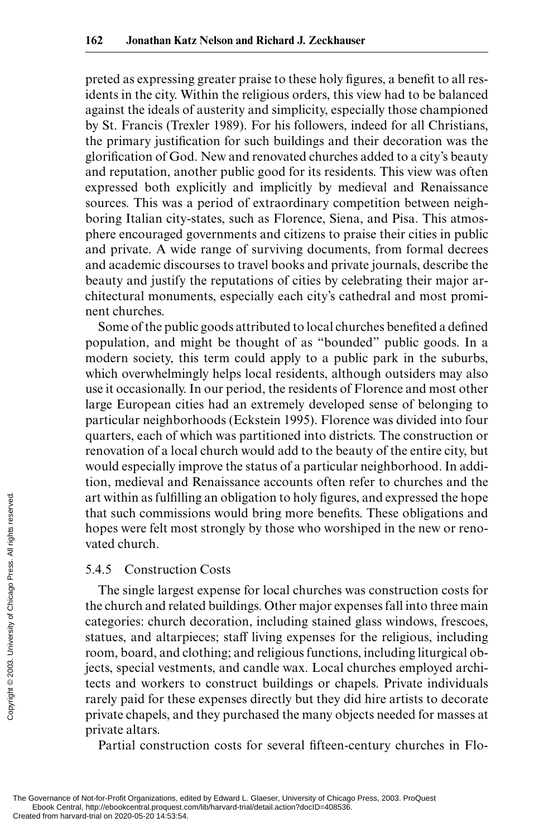preted as expressing greater praise to these holy figures, a benefit to all residents in the city. Within the religious orders, this view had to be balanced against the ideals of austerity and simplicity, especially those championed by St. Francis (Trexler 1989). For his followers, indeed for all Christians, the primary justification for such buildings and their decoration was the glorification of God. New and renovated churches added to a city's beauty and reputation, another public good for its residents. This view was often expressed both explicitly and implicitly by medieval and Renaissance sources. This was a period of extraordinary competition between neighboring Italian city-states, such as Florence, Siena, and Pisa. This atmosphere encouraged governments and citizens to praise their cities in public and private. A wide range of surviving documents, from formal decrees and academic discourses to travel books and private journals, describe the beauty and justify the reputations of cities by celebrating their major architectural monuments, especially each city's cathedral and most prominent churches.

Some of the public goods attributed to local churches benefited a defined population, and might be thought of as "bounded" public goods. In a modern society, this term could apply to a public park in the suburbs, which overwhelmingly helps local residents, although outsiders may also use it occasionally. In our period, the residents of Florence and most other large European cities had an extremely developed sense of belonging to particular neighborhoods (Eckstein 1995). Florence was divided into four quarters, each of which was partitioned into districts. The construction or renovation of a local church would add to the beauty of the entire city, but would especially improve the status of a particular neighborhood. In addition, medieval and Renaissance accounts often refer to churches and the art within as fulfilling an obligation to holy figures, and expressed the hope that such commissions would bring more benefits. These obligations and hopes were felt most strongly by those who worshiped in the new or renovated church.

# 5.4.5 Construction Costs

The single largest expense for local churches was construction costs for the church and related buildings. Other major expenses fall into three main categories: church decoration, including stained glass windows, frescoes, statues, and altarpieces; staff living expenses for the religious, including room, board, and clothing; and religious functions, including liturgical objects, special vestments, and candle wax. Local churches employed architects and workers to construct buildings or chapels. Private individuals rarely paid for these expenses directly but they did hire artists to decorate private chapels, and they purchased the many objects needed for masses at private altars. Exercise the Created from havard-trial on 2020-05-20-14:53:54. Created from havard-trial on 2020-05-20-14:53:54. Created from havard-trial on 2020-05-20-14:53:54.

Partial construction costs for several fifteen-century churches in Flo-

The Governance of Not-for-Profit Organizations, edited by Edward L. Glaeser, University of Chicago Press, 2003. ProQuest Ebook Central, http://ebookcentral.proquest.com/lib/harvard-trial/detail.action?docID=408536.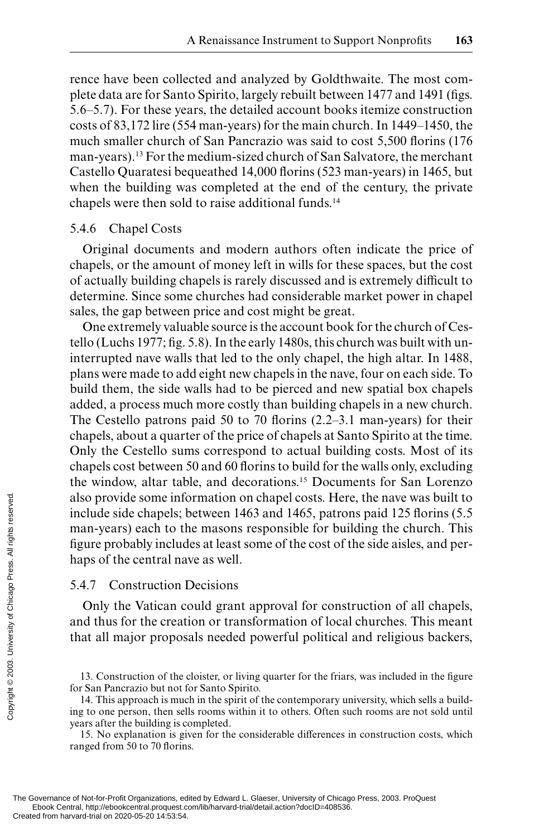rence have been collected and analyzed by Goldthwaite. The most complete data are for Santo Spirito, largely rebuilt between 1477 and 1491 (figs. 5.6–5.7). For these years, the detailed account books itemize construction costs of 83,172 lire (554 man-years) for the main church. In 1449–1450, the much smaller church of San Pancrazio was said to cost 5,500 florins (176 man-years).13 For the medium-sized church of San Salvatore, the merchant Castello Quaratesi bequeathed 14,000 florins (523 man-years) in 1465, but when the building was completed at the end of the century, the private chapels were then sold to raise additional funds.14

## 5.4.6 Chapel Costs

Original documents and modern authors often indicate the price of chapels, or the amount of money left in wills for these spaces, but the cost of actually building chapels is rarely discussed and is extremely difficult to determine. Since some churches had considerable market power in chapel sales, the gap between price and cost might be great.

One extremely valuable source is the account book for the church of Cestello (Luchs 1977; fig. 5.8). In the early 1480s, this church was built with uninterrupted nave walls that led to the only chapel, the high altar. In 1488, plans were made to add eight new chapels in the nave, four on each side. To build them, the side walls had to be pierced and new spatial box chapels added, a process much more costly than building chapels in a new church. The Cestello patrons paid 50 to 70 florins (2.2–3.1 man-years) for their chapels, about a quarter of the price of chapels at Santo Spirito at the time. Only the Cestello sums correspond to actual building costs. Most of its chapels cost between 50 and 60 florins to build for the walls only, excluding the window, altar table, and decorations.15 Documents for San Lorenzo also provide some information on chapel costs. Here, the nave was built to include side chapels; between 1463 and 1465, patrons paid 125 florins (5.5 man-years) each to the masons responsible for building the church. This figure probably includes at least some of the cost of the side aisles, and perhaps of the central nave as well. Example 12:25 and thus for the created from harvard-trial on 2020-05-20-2014:53:54.<br>
The Governance of Not-for-Profit Organizations, etchicago Press. All rights reserved.<br>
The Covernance of Not-for-Profit Organizations, e

## 5.4.7 Construction Decisions

Only the Vatican could grant approval for construction of all chapels, and thus for the creation or transformation of local churches. This meant that all major proposals needed powerful political and religious backers,

The Governance of Not-for-Profit Organizations, edited by Edward L. Glaeser, University of Chicago Press, 2003. ProQuest Ebook Central, http://ebookcentral.proquest.com/lib/harvard-trial/detail.action?docID=408536.<br>Created from harvard-trial on 2020-05-20 14:53:54.

<sup>13.</sup> Construction of the cloister, or living quarter for the friars, was included in the figure for San Pancrazio but not for Santo Spirito.

<sup>14.</sup> This approach is much in the spirit of the contemporary university, which sells a building to one person, then sells rooms within it to others. Often such rooms are not sold until years after the building is completed.

<sup>15.</sup> No explanation is given for the considerable differences in construction costs, which ranged from 50 to 70 florins.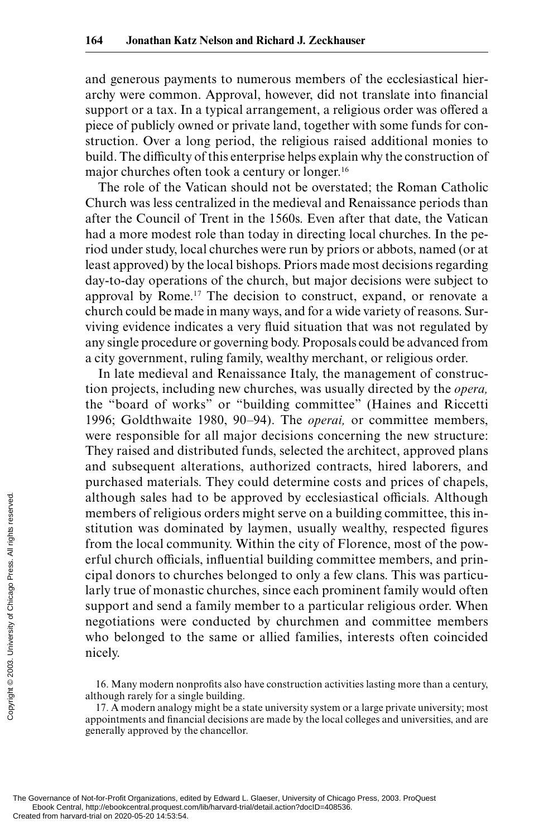and generous payments to numerous members of the ecclesiastical hierarchy were common. Approval, however, did not translate into financial support or a tax. In a typical arrangement, a religious order was offered a piece of publicly owned or private land, together with some funds for construction. Over a long period, the religious raised additional monies to build. The difficulty of this enterprise helps explain why the construction of major churches often took a century or longer.16

The role of the Vatican should not be overstated; the Roman Catholic Church was less centralized in the medieval and Renaissance periods than after the Council of Trent in the 1560s. Even after that date, the Vatican had a more modest role than today in directing local churches. In the period under study, local churches were run by priors or abbots, named (or at least approved) by the local bishops. Priors made most decisions regarding day-to-day operations of the church, but major decisions were subject to approval by Rome.<sup>17</sup> The decision to construct, expand, or renovate a church could be made in many ways, and for a wide variety of reasons. Surviving evidence indicates a very fluid situation that was not regulated by any single procedure or governing body. Proposals could be advanced from a city government, ruling family, wealthy merchant, or religious order.

In late medieval and Renaissance Italy, the management of construction projects, including new churches, was usually directed by the *opera,* the "board of works" or "building committee" (Haines and Riccetti 1996; Goldthwaite 1980, 90–94). The *operai,* or committee members, were responsible for all major decisions concerning the new structure: They raised and distributed funds, selected the architect, approved plans and subsequent alterations, authorized contracts, hired laborers, and purchased materials. They could determine costs and prices of chapels, although sales had to be approved by ecclesiastical officials. Although members of religious orders might serve on a building committee, this institution was dominated by laymen, usually wealthy, respected figures from the local community. Within the city of Florence, most of the powerful church officials, influential building committee members, and principal donors to churches belonged to only a few clans. This was particularly true of monastic churches, since each prominent family would often support and send a family member to a particular religious order. When negotiations were conducted by churchmen and committee members who belonged to the same or allied families, interests often coincided nicely. Exercise the Created from harvard-trial on 2020-05-20 14:53:54.<br>
The Created from harvard-trial on 2020-05-20-14:53:54.<br>
The Covernance of Not-for-Profit Organizations, etch<br>
Created from harvard-trial on 2020-05-20-14:53:

<sup>16.</sup> Many modern nonprofits also have construction activities lasting more than a century, although rarely for a single building.

<sup>17.</sup> A modern analogy might be a state university system or a large private university; most appointments and financial decisions are made by the local colleges and universities, and are generally approved by the chancellor.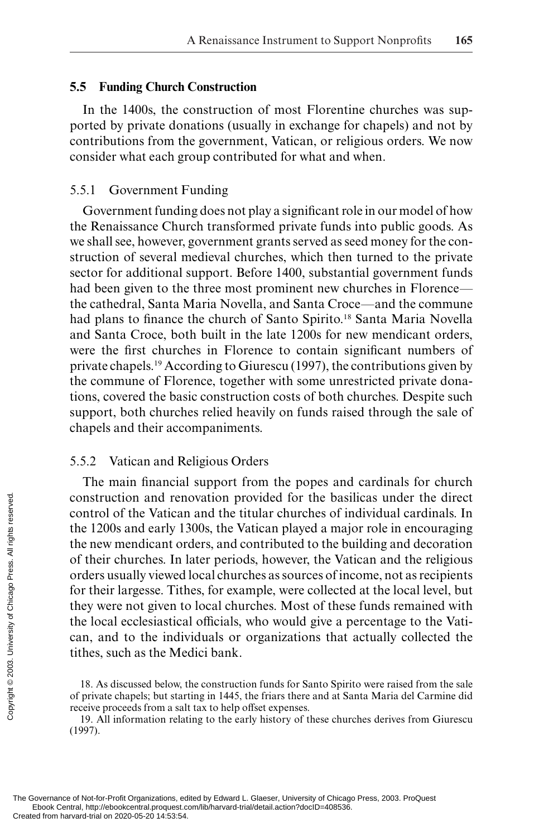#### **5.5 Funding Church Construction**

In the 1400s, the construction of most Florentine churches was supported by private donations (usually in exchange for chapels) and not by contributions from the government, Vatican, or religious orders. We now consider what each group contributed for what and when.

#### 5.5.1 Government Funding

Government funding does not play a significant role in our model of how the Renaissance Church transformed private funds into public goods. As we shall see, however, government grants served as seed money for the construction of several medieval churches, which then turned to the private sector for additional support. Before 1400, substantial government funds had been given to the three most prominent new churches in Florence the cathedral, Santa Maria Novella, and Santa Croce—and the commune had plans to finance the church of Santo Spirito.18 Santa Maria Novella and Santa Croce, both built in the late 1200s for new mendicant orders, were the first churches in Florence to contain significant numbers of private chapels.19 According to Giurescu (1997), the contributions given by the commune of Florence, together with some unrestricted private donations, covered the basic construction costs of both churches. Despite such support, both churches relied heavily on funds raised through the sale of chapels and their accompaniments.

#### 5.5.2 Vatican and Religious Orders

The main financial support from the popes and cardinals for church construction and renovation provided for the basilicas under the direct control of the Vatican and the titular churches of individual cardinals. In the 1200s and early 1300s, the Vatican played a major role in encouraging the new mendicant orders, and contributed to the building and decoration of their churches. In later periods, however, the Vatican and the religious orders usually viewed local churches as sources of income, not as recipients for their largesse. Tithes, for example, were collected at the local level, but they were not given to local churches. Most of these funds remained with the local ecclesiastical officials, who would give a percentage to the Vatican, and to the individuals or organizations that actually collected the tithes, such as the Medici bank. Created from harvard-trial on 2020-05-20-14:53:54. Created from harvard-trial on 2020-05-20-14:53:54. Created from harvard-trial on 2020-05-20-14:53:54. Created from harvard-trial on 2020-05-20-14:53:54.

<sup>18.</sup> As discussed below, the construction funds for Santo Spirito were raised from the sale of private chapels; but starting in 1445, the friars there and at Santa Maria del Carmine did receive proceeds from a salt tax to help offset expenses.

<sup>19.</sup> All information relating to the early history of these churches derives from Giurescu (1997).

The Governance of Not-for-Profit Organizations, edited by Edward L. Glaeser, University of Chicago Press, 2003. ProQuest Ebook Central, http://ebookcentral.proquest.com/lib/harvard-trial/detail.action?docID=408536.<br>Created from harvard-trial on 2020-05-20 14:53:54.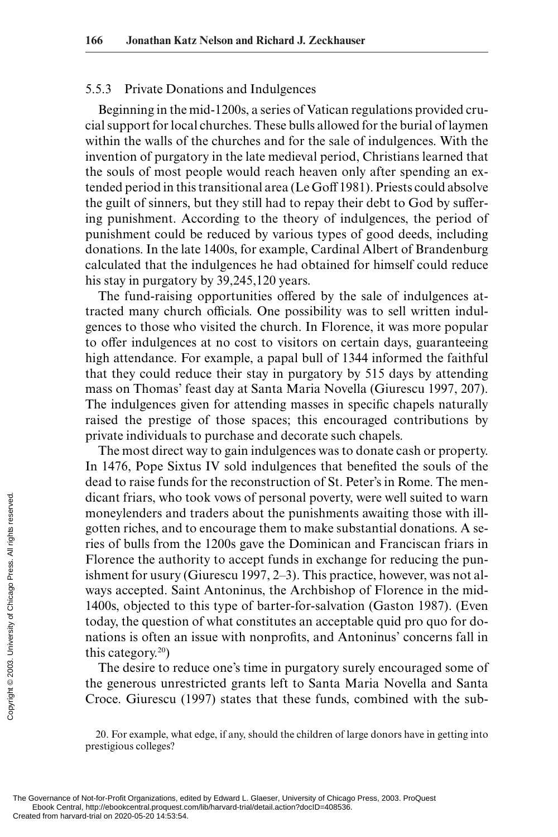## 5.5.3 Private Donations and Indulgences

Beginning in the mid-1200s, a series of Vatican regulations provided crucial support for local churches. These bulls allowed for the burial of laymen within the walls of the churches and for the sale of indulgences. With the invention of purgatory in the late medieval period, Christians learned that the souls of most people would reach heaven only after spending an extended period in this transitional area (Le Goff 1981). Priests could absolve the guilt of sinners, but they still had to repay their debt to God by suffering punishment. According to the theory of indulgences, the period of punishment could be reduced by various types of good deeds, including donations. In the late 1400s, for example, Cardinal Albert of Brandenburg calculated that the indulgences he had obtained for himself could reduce his stay in purgatory by 39,245,120 years.

The fund-raising opportunities offered by the sale of indulgences attracted many church officials. One possibility was to sell written indulgences to those who visited the church. In Florence, it was more popular to offer indulgences at no cost to visitors on certain days, guaranteeing high attendance. For example, a papal bull of 1344 informed the faithful that they could reduce their stay in purgatory by 515 days by attending mass on Thomas' feast day at Santa Maria Novella (Giurescu 1997, 207). The indulgences given for attending masses in specific chapels naturally raised the prestige of those spaces; this encouraged contributions by private individuals to purchase and decorate such chapels.

The most direct way to gain indulgences was to donate cash or property. In 1476, Pope Sixtus IV sold indulgences that benefited the souls of the dead to raise funds for the reconstruction of St. Peter's in Rome. The mendicant friars, who took vows of personal poverty, were well suited to warn moneylenders and traders about the punishments awaiting those with illgotten riches, and to encourage them to make substantial donations. A series of bulls from the 1200s gave the Dominican and Franciscan friars in Florence the authority to accept funds in exchange for reducing the punishment for usury (Giurescu 1997, 2–3). This practice, however, was not always accepted. Saint Antoninus, the Archbishop of Florence in the mid-1400s, objected to this type of barter-for-salvation (Gaston 1987). (Even today, the question of what constitutes an acceptable quid pro quo for donations is often an issue with nonprofits, and Antoninus' concerns fall in this category.20) Fraction control control control created from harvard-trial on 2020-05-20-204:53:54. Created from harvard-trial on 2020-05-20-204:53:54. Created from harvard-trial on 2020-05-20-204:53:54.

The desire to reduce one's time in purgatory surely encouraged some of the generous unrestricted grants left to Santa Maria Novella and Santa Croce. Giurescu (1997) states that these funds, combined with the sub-

20. For example, what edge, if any, should the children of large donors have in getting into prestigious colleges?

The Governance of Not-for-Profit Organizations, edited by Edward L. Glaeser, University of Chicago Press, 2003. ProQuest Ebook Central, http://ebookcentral.proquest.com/lib/harvard-trial/detail.action?docID=408536.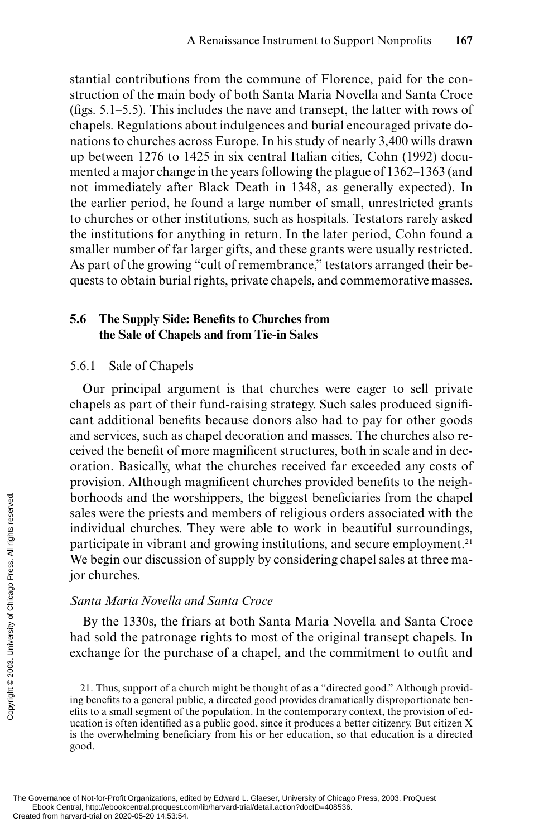stantial contributions from the commune of Florence, paid for the construction of the main body of both Santa Maria Novella and Santa Croce (figs. 5.1–5.5). This includes the nave and transept, the latter with rows of chapels. Regulations about indulgences and burial encouraged private donations to churches across Europe. In his study of nearly 3,400 wills drawn up between 1276 to 1425 in six central Italian cities, Cohn (1992) documented a major change in the years following the plague of 1362–1363 (and not immediately after Black Death in 1348, as generally expected). In the earlier period, he found a large number of small, unrestricted grants to churches or other institutions, such as hospitals. Testators rarely asked the institutions for anything in return. In the later period, Cohn found a smaller number of far larger gifts, and these grants were usually restricted. As part of the growing "cult of remembrance," testators arranged their bequests to obtain burial rights, private chapels, and commemorative masses.

# **5.6 The Supply Side: Benefits to Churches from the Sale of Chapels and from Tie-in Sales**

#### 5.6.1 Sale of Chapels

Our principal argument is that churches were eager to sell private chapels as part of their fund-raising strategy. Such sales produced significant additional benefits because donors also had to pay for other goods and services, such as chapel decoration and masses. The churches also received the benefit of more magnificent structures, both in scale and in decoration. Basically, what the churches received far exceeded any costs of provision. Although magnificent churches provided benefits to the neighborhoods and the worshippers, the biggest beneficiaries from the chapel sales were the priests and members of religious orders associated with the individual churches. They were able to work in beautiful surroundings, participate in vibrant and growing institutions, and secure employment.<sup>21</sup> We begin our discussion of supply by considering chapel sales at three major churches. Fractional or the pricests individual churches.<br>
From the pricests individual churches.<br>
The begin our discussite invibrant<br>
We begin our discussite invibrant<br>
Served for churches.<br>
Santa Maria Novella a<br>
By the 1330s, th

## *Santa Maria Novella and Santa Croce*

By the 1330s, the friars at both Santa Maria Novella and Santa Croce had sold the patronage rights to most of the original transept chapels. In exchange for the purchase of a chapel, and the commitment to outfit and

The Governance of Not-for-Profit Organizations, edited by Edward L. Glaeser, University of Chicago Press, 2003. ProQuest Ebook Central, http://ebookcentral.proquest.com/lib/harvard-trial/detail.action?docID=408536.<br>Created from harvard-trial on 2020-05-20 14:53:54.

<sup>21.</sup> Thus, support of a church might be thought of as a "directed good." Although providing benefits to a general public, a directed good provides dramatically disproportionate benefits to a small segment of the population. In the contemporary context, the provision of education is often identified as a public good, since it produces a better citizenry. But citizen X is the overwhelming beneficiary from his or her education, so that education is a directed good.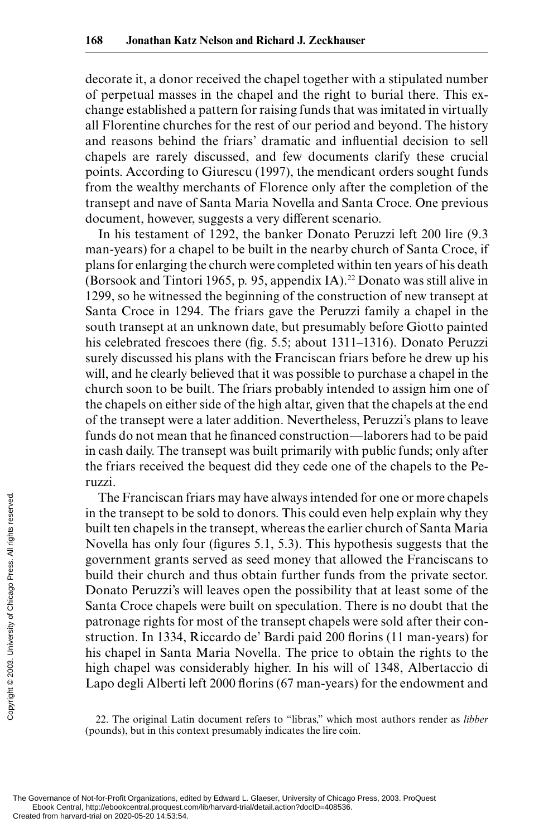decorate it, a donor received the chapel together with a stipulated number of perpetual masses in the chapel and the right to burial there. This exchange established a pattern for raising funds that was imitated in virtually all Florentine churches for the rest of our period and beyond. The history and reasons behind the friars' dramatic and influential decision to sell chapels are rarely discussed, and few documents clarify these crucial points. According to Giurescu (1997), the mendicant orders sought funds from the wealthy merchants of Florence only after the completion of the transept and nave of Santa Maria Novella and Santa Croce. One previous document, however, suggests a very different scenario.

In his testament of 1292, the banker Donato Peruzzi left 200 lire (9.3 man-years) for a chapel to be built in the nearby church of Santa Croce, if plans for enlarging the church were completed within ten years of his death (Borsook and Tintori 1965, p. 95, appendix IA).22 Donato was still alive in 1299, so he witnessed the beginning of the construction of new transept at Santa Croce in 1294. The friars gave the Peruzzi family a chapel in the south transept at an unknown date, but presumably before Giotto painted his celebrated frescoes there (fig. 5.5; about 1311–1316). Donato Peruzzi surely discussed his plans with the Franciscan friars before he drew up his will, and he clearly believed that it was possible to purchase a chapel in the church soon to be built. The friars probably intended to assign him one of the chapels on either side of the high altar, given that the chapels at the end of the transept were a later addition. Nevertheless, Peruzzi's plans to leave funds do not mean that he financed construction—laborers had to be paid in cash daily. The transept was built primarily with public funds; only after the friars received the bequest did they cede one of the chapels to the Peruzzi.

The Franciscan friars may have always intended for one or more chapels in the transept to be sold to donors. This could even help explain why they built ten chapels in the transept, whereas the earlier church of Santa Maria Novella has only four (figures 5.1, 5.3). This hypothesis suggests that the government grants served as seed money that allowed the Franciscans to build their church and thus obtain further funds from the private sector. Donato Peruzzi's will leaves open the possibility that at least some of the Santa Croce chapels were built on speculation. There is no doubt that the patronage rights for most of the transept chapels were sold after their construction. In 1334, Riccardo de' Bardi paid 200 florins (11 man-years) for his chapel in Santa Maria Novella. The price to obtain the rights to the high chapel was considerably higher. In his will of 1348, Albertaccio di Lapo degli Alberti left 2000 florins (67 man-years) for the endowment and The Franciscan f<br>
in the transept to b<br>
built ten chapels in<br>
Novella has only for<br>
government grants<br>
build their church<br>
Donato Peruzzi's v<br>
Santa Croce chape<br>
patronage rights for<br>
struction. In 1334,<br>
his chapel in Sa

22. The original Latin document refers to "libras," which most authors render as *libber* (pounds), but in this context presumably indicates the lire coin.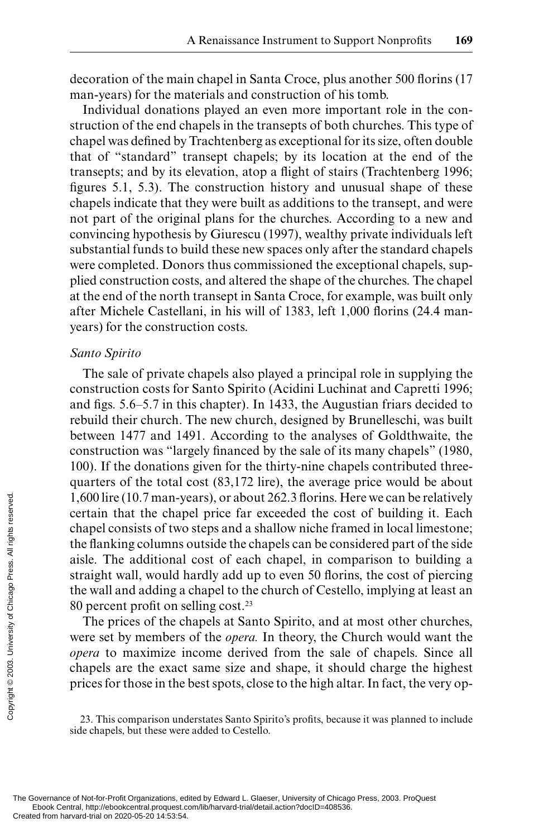decoration of the main chapel in Santa Croce, plus another 500 florins (17 man-years) for the materials and construction of his tomb.

Individual donations played an even more important role in the construction of the end chapels in the transepts of both churches. This type of chapel was defined by Trachtenberg as exceptional for its size, often double that of "standard" transept chapels; by its location at the end of the transepts; and by its elevation, atop a flight of stairs (Trachtenberg 1996; figures 5.1, 5.3). The construction history and unusual shape of these chapels indicate that they were built as additions to the transept, and were not part of the original plans for the churches. According to a new and convincing hypothesis by Giurescu (1997), wealthy private individuals left substantial funds to build these new spaces only after the standard chapels were completed. Donors thus commissioned the exceptional chapels, supplied construction costs, and altered the shape of the churches. The chapel at the end of the north transept in Santa Croce, for example, was built only after Michele Castellani, in his will of 1383, left 1,000 florins (24.4 manyears) for the construction costs.

#### *Santo Spirito*

The sale of private chapels also played a principal role in supplying the construction costs for Santo Spirito (Acidini Luchinat and Capretti 1996; and figs. 5.6–5.7 in this chapter). In 1433, the Augustian friars decided to rebuild their church. The new church, designed by Brunelleschi, was built between 1477 and 1491. According to the analyses of Goldthwaite, the construction was "largely financed by the sale of its many chapels" (1980, 100). If the donations given for the thirty-nine chapels contributed threequarters of the total cost (83,172 lire), the average price would be about 1,600 lire (10.7 man-years), or about 262.3 florins. Here we can be relatively certain that the chapel price far exceeded the cost of building it. Each chapel consists of two steps and a shallow niche framed in local limestone; the flanking columns outside the chapels can be considered part of the side aisle. The additional cost of each chapel, in comparison to building a straight wall, would hardly add up to even 50 florins, the cost of piercing the wall and adding a chapel to the church of Cestello, implying at least an 80 percent profit on selling cost.23 Example 1,600 lire (10.7 man-ye<br>
certain that the chap<br>
chapel consists of two<br>
the flanking columns of<br>
aisle. The additional<br>
straight wall, would h<br>
the wall and adding a<br>
80 percent profit on so<br>
The prices of the cl<br>

The prices of the chapels at Santo Spirito, and at most other churches, were set by members of the *opera.* In theory, the Church would want the *opera* to maximize income derived from the sale of chapels. Since all chapels are the exact same size and shape, it should charge the highest prices for those in the best spots, close to the high altar. In fact, the very op-

<sup>23.</sup> This comparison understates Santo Spirito's profits, because it was planned to include side chapels, but these were added to Cestello.

The Governance of Not-for-Profit Organizations, edited by Edward L. Glaeser, University of Chicago Press, 2003. ProQuest Ebook Central, http://ebookcentral.proquest.com/lib/harvard-trial/detail.action?docID=408536.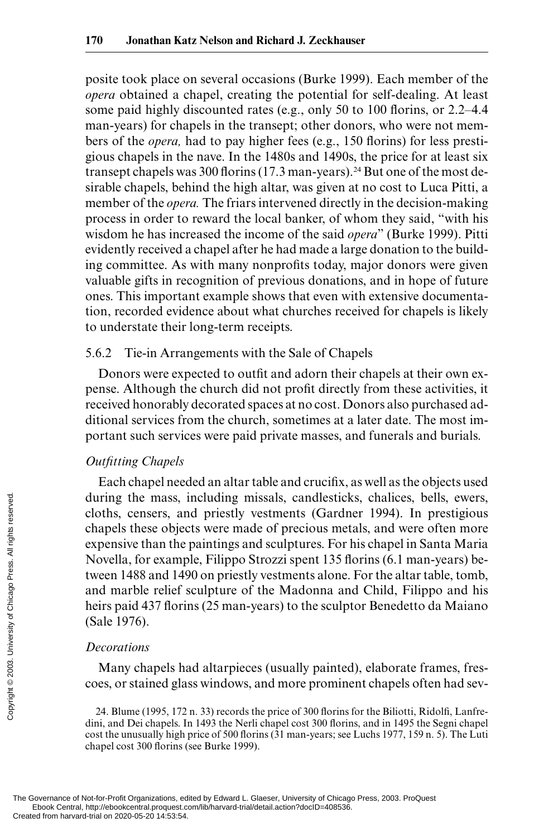posite took place on several occasions (Burke 1999). Each member of the *opera* obtained a chapel, creating the potential for self-dealing. At least some paid highly discounted rates (e.g., only 50 to 100 florins, or 2.2–4.4 man-years) for chapels in the transept; other donors, who were not members of the *opera,* had to pay higher fees (e.g., 150 florins) for less prestigious chapels in the nave. In the 1480s and 1490s, the price for at least six transept chapels was 300 florins  $(17.3 \text{ man-years})$ .<sup>24</sup> But one of the most desirable chapels, behind the high altar, was given at no cost to Luca Pitti, a member of the *opera.* The friars intervened directly in the decision-making process in order to reward the local banker, of whom they said, "with his wisdom he has increased the income of the said *opera*" (Burke 1999). Pitti evidently received a chapel after he had made a large donation to the building committee. As with many nonprofits today, major donors were given valuable gifts in recognition of previous donations, and in hope of future ones. This important example shows that even with extensive documentation, recorded evidence about what churches received for chapels is likely to understate their long-term receipts.

## 5.6.2 Tie-in Arrangements with the Sale of Chapels

Donors were expected to outfit and adorn their chapels at their own expense. Although the church did not profit directly from these activities, it received honorably decorated spaces at no cost. Donors also purchased additional services from the church, sometimes at a later date. The most important such services were paid private masses, and funerals and burials.

#### *Outfitting Chapels*

Each chapel needed an altar table and crucifix, as well as the objects used during the mass, including missals, candlesticks, chalices, bells, ewers, cloths, censers, and priestly vestments (Gardner 1994). In prestigious chapels these objects were made of precious metals, and were often more expensive than the paintings and sculptures. For his chapel in Santa Maria Novella, for example, Filippo Strozzi spent 135 florins (6.1 man-years) between 1488 and 1490 on priestly vestments alone. For the altar table, tomb, and marble relief sculpture of the Madonna and Child, Filippo and his heirs paid 437 florins (25 man-years) to the sculptor Benedetto da Maiano (Sale 1976). Exercise the mass, is cloths, censers, an chapels these objectors are presented from the Novella, for examp tween 1488 and 149 and marble relief sheirs paid 437 floril (Sale 1976).<br> *Decorations* (Sale 1976).<br> *Decoration* 

#### *Decorations*

Many chapels had altarpieces (usually painted), elaborate frames, frescoes, or stained glass windows, and more prominent chapels often had sev-

<sup>24.</sup> Blume (1995, 172 n. 33) records the price of 300 florins for the Biliotti, Ridolfi, Lanfredini, and Dei chapels. In 1493 the Nerli chapel cost 300 florins, and in 1495 the Segni chapel cost the unusually high price of 500 florins (31 man-years; see Luchs 1977, 159 n. 5). The Luti chapel cost 300 florins (see Burke 1999).

The Governance of Not-for-Profit Organizations, edited by Edward L. Glaeser, University of Chicago Press, 2003. ProQuest Ebook Central, http://ebookcentral.proquest.com/lib/harvard-trial/detail.action?docID=408536.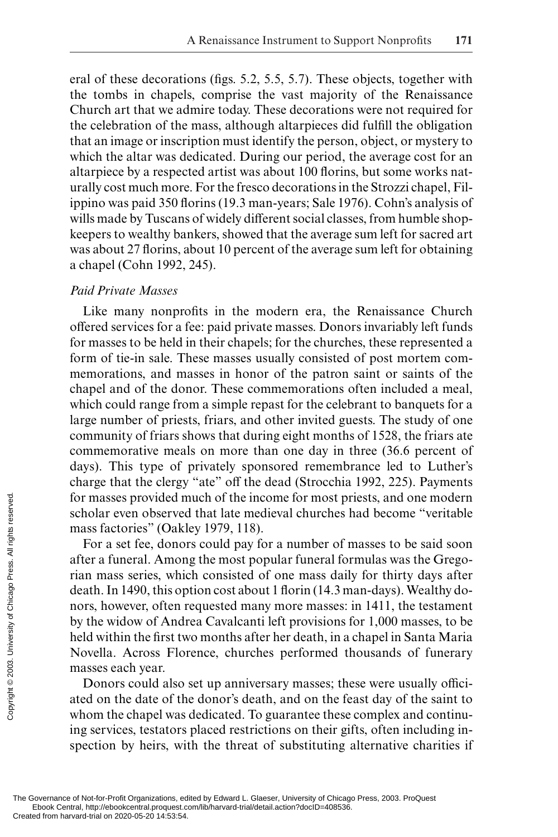eral of these decorations (figs. 5.2, 5.5, 5.7). These objects, together with the tombs in chapels, comprise the vast majority of the Renaissance Church art that we admire today. These decorations were not required for the celebration of the mass, although altarpieces did fulfill the obligation that an image or inscription must identify the person, object, or mystery to which the altar was dedicated. During our period, the average cost for an altarpiece by a respected artist was about 100 florins, but some works naturally cost much more. For the fresco decorations in the Strozzi chapel, Filippino was paid 350 florins (19.3 man-years; Sale 1976). Cohn's analysis of wills made by Tuscans of widely different social classes, from humble shopkeepers to wealthy bankers, showed that the average sum left for sacred art was about 27 florins, about 10 percent of the average sum left for obtaining a chapel (Cohn 1992, 245).

# *Paid Private Masses*

Like many nonprofits in the modern era, the Renaissance Church offered services for a fee: paid private masses. Donors invariably left funds for masses to be held in their chapels; for the churches, these represented a form of tie-in sale. These masses usually consisted of post mortem commemorations, and masses in honor of the patron saint or saints of the chapel and of the donor. These commemorations often included a meal, which could range from a simple repast for the celebrant to banquets for a large number of priests, friars, and other invited guests. The study of one community of friars shows that during eight months of 1528, the friars ate commemorative meals on more than one day in three (36.6 percent of days). This type of privately sponsored remembrance led to Luther's charge that the clergy "ate" off the dead (Strocchia 1992, 225). Payments for masses provided much of the income for most priests, and one modern scholar even observed that late medieval churches had become "veritable mass factories" (Oakley 1979, 118).

For a set fee, donors could pay for a number of masses to be said soon after a funeral. Among the most popular funeral formulas was the Gregorian mass series, which consisted of one mass daily for thirty days after death. In 1490, this option cost about 1 florin (14.3 man-days). Wealthy donors, however, often requested many more masses: in 1411, the testament by the widow of Andrea Cavalcanti left provisions for 1,000 masses, to be held within the first two months after her death, in a chapel in Santa Maria Novella. Across Florence, churches performed thousands of funerary masses each year. Fraction 1992<br>
Experimentation of the served from the served from the served from the served from the served from the served from the chapel was<br>
the copyright Copyright Copyright Copyright Copyright Copyright Copyright C

Donors could also set up anniversary masses; these were usually officiated on the date of the donor's death, and on the feast day of the saint to whom the chapel was dedicated. To guarantee these complex and continuing services, testators placed restrictions on their gifts, often including inspection by heirs, with the threat of substituting alternative charities if

The Governance of Not-for-Profit Organizations, edited by Edward L. Glaeser, University of Chicago Press, 2003. ProQuest Ebook Central, http://ebookcentral.proquest.com/lib/harvard-trial/detail.action?docID=408536.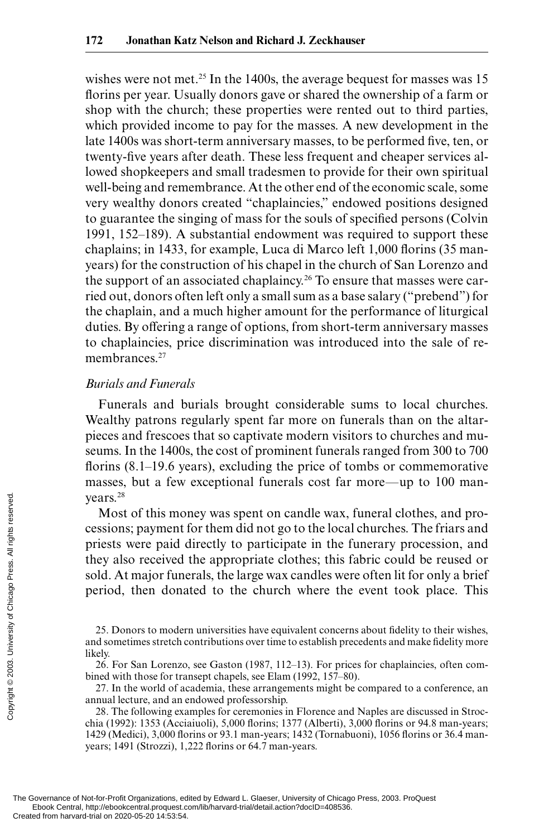wishes were not met.<sup>25</sup> In the 1400s, the average bequest for masses was 15 florins per year. Usually donors gave or shared the ownership of a farm or shop with the church; these properties were rented out to third parties, which provided income to pay for the masses. A new development in the late 1400s was short-term anniversary masses, to be performed five, ten, or twenty-five years after death. These less frequent and cheaper services allowed shopkeepers and small tradesmen to provide for their own spiritual well-being and remembrance. At the other end of the economic scale, some very wealthy donors created "chaplaincies," endowed positions designed to guarantee the singing of mass for the souls of specified persons (Colvin 1991, 152–189). A substantial endowment was required to support these chaplains; in 1433, for example, Luca di Marco left 1,000 florins (35 manyears) for the construction of his chapel in the church of San Lorenzo and the support of an associated chaplaincy.26 To ensure that masses were carried out, donors often left only a small sum as a base salary ("prebend") for the chaplain, and a much higher amount for the performance of liturgical duties. By offering a range of options, from short-term anniversary masses to chaplaincies, price discrimination was introduced into the sale of remembrances.<sup>27</sup>

# *Burials and Funerals*

Funerals and burials brought considerable sums to local churches. Wealthy patrons regularly spent far more on funerals than on the altarpieces and frescoes that so captivate modern visitors to churches and museums. In the 1400s, the cost of prominent funerals ranged from 300 to 700 florins (8.1–19.6 years), excluding the price of tombs or commemorative masses, but a few exceptional funerals cost far more—up to 100 manyears.28

Most of this money was spent on candle wax, funeral clothes, and processions; payment for them did not go to the local churches. The friars and priests were paid directly to participate in the funerary procession, and they also received the appropriate clothes; this fabric could be reused or sold. At major funerals, the large wax candles were often lit for only a brief period, then donated to the church where the event took place. This Exerged From Harvard-trial on 2020-05-20 14:53:54.<br>
The Governance of Not-for-Profit Organizations, etc.<br>
The Governance of Not-for-Profit Organizations, etc.<br>
The Governance of Not-for-Profit Organizations, etc.<br>
Exerged

27. In the world of academia, these arrangements might be compared to a conference, an annual lecture, and an endowed professorship.

<sup>25.</sup> Donors to modern universities have equivalent concerns about fidelity to their wishes, and sometimes stretch contributions over time to establish precedents and make fidelity more likely.

<sup>26.</sup> For San Lorenzo, see Gaston (1987, 112–13). For prices for chaplaincies, often combined with those for transept chapels, see Elam (1992, 157–80).

<sup>28.</sup> The following examples for ceremonies in Florence and Naples are discussed in Strocchia (1992): 1353 (Acciaiuoli), 5,000 florins; 1377 (Alberti), 3,000 florins or 94.8 man-years; 1429 (Medici), 3,000 florins or 93.1 man-years; 1432 (Tornabuoni), 1056 florins or 36.4 manyears; 1491 (Strozzi), 1,222 florins or 64.7 man-years.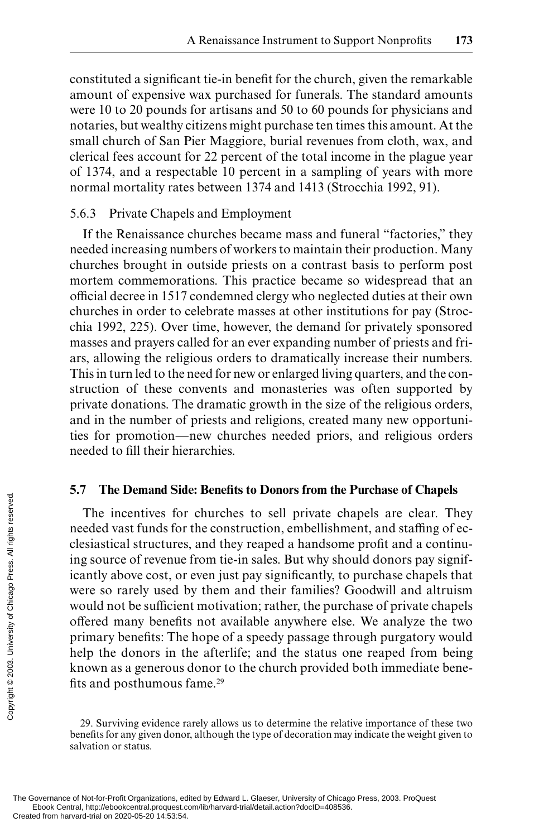constituted a significant tie-in benefit for the church, given the remarkable amount of expensive wax purchased for funerals. The standard amounts were 10 to 20 pounds for artisans and 50 to 60 pounds for physicians and notaries, but wealthy citizens might purchase ten times this amount. At the small church of San Pier Maggiore, burial revenues from cloth, wax, and clerical fees account for 22 percent of the total income in the plague year of 1374, and a respectable 10 percent in a sampling of years with more normal mortality rates between 1374 and 1413 (Strocchia 1992, 91).

#### 5.6.3 Private Chapels and Employment

If the Renaissance churches became mass and funeral "factories," they needed increasing numbers of workers to maintain their production. Many churches brought in outside priests on a contrast basis to perform post mortem commemorations. This practice became so widespread that an official decree in 1517 condemned clergy who neglected duties at their own churches in order to celebrate masses at other institutions for pay (Strocchia 1992, 225). Over time, however, the demand for privately sponsored masses and prayers called for an ever expanding number of priests and friars, allowing the religious orders to dramatically increase their numbers. This in turn led to the need for new or enlarged living quarters, and the construction of these convents and monasteries was often supported by private donations. The dramatic growth in the size of the religious orders, and in the number of priests and religions, created many new opportunities for promotion—new churches needed priors, and religious orders needed to fill their hierarchies.

#### **5.7 The Demand Side: Benefits to Donors from the Purchase of Chapels**

The incentives for churches to sell private chapels are clear. They needed vast funds for the construction, embellishment, and staffing of ecclesiastical structures, and they reaped a handsome profit and a continuing source of revenue from tie-in sales. But why should donors pay significantly above cost, or even just pay significantly, to purchase chapels that were so rarely used by them and their families? Goodwill and altruism would not be sufficient motivation; rather, the purchase of private chapels offered many benefits not available anywhere else. We analyze the two primary benefits: The hope of a speedy passage through purgatory would help the donors in the afterlife; and the status one reaped from being known as a generous donor to the church provided both immediate benefits and posthumous fame.<sup>29</sup> The incentives for<br>
Lesiastical structures<br>
in g source of revenue<br>
icantly above cost, or<br>
were so rarely used b<br>
would not be sufficien<br>
offered many benefit:<br>
primary benefits: The<br>
help the donors in the<br>
known as a g

29. Surviving evidence rarely allows us to determine the relative importance of these two benefits for any given donor, although the type of decoration may indicate the weight given to salvation or status.

The Governance of Not-for-Profit Organizations, edited by Edward L. Glaeser, University of Chicago Press, 2003. ProQuest Ebook Central, http://ebookcentral.proquest.com/lib/harvard-trial/detail.action?docID=408536.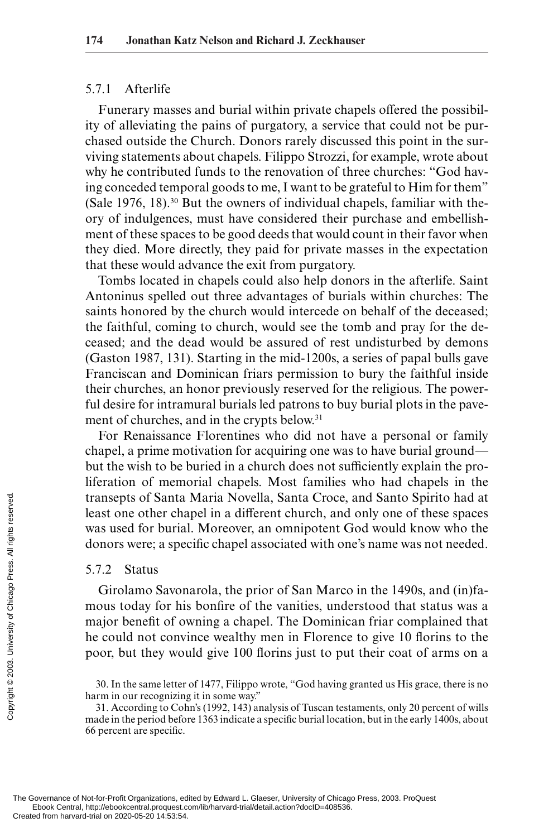# 5.7.1 Afterlife

Funerary masses and burial within private chapels offered the possibility of alleviating the pains of purgatory, a service that could not be purchased outside the Church. Donors rarely discussed this point in the surviving statements about chapels. Filippo Strozzi, for example, wrote about why he contributed funds to the renovation of three churches: "God having conceded temporal goods to me, I want to be grateful to Him for them" (Sale 1976, 18).<sup>30</sup> But the owners of individual chapels, familiar with theory of indulgences, must have considered their purchase and embellishment of these spaces to be good deeds that would count in their favor when they died. More directly, they paid for private masses in the expectation that these would advance the exit from purgatory.

Tombs located in chapels could also help donors in the afterlife. Saint Antoninus spelled out three advantages of burials within churches: The saints honored by the church would intercede on behalf of the deceased; the faithful, coming to church, would see the tomb and pray for the deceased; and the dead would be assured of rest undisturbed by demons (Gaston 1987, 131). Starting in the mid-1200s, a series of papal bulls gave Franciscan and Dominican friars permission to bury the faithful inside their churches, an honor previously reserved for the religious. The powerful desire for intramural burials led patrons to buy burial plots in the pavement of churches, and in the crypts below.<sup>31</sup>

For Renaissance Florentines who did not have a personal or family chapel, a prime motivation for acquiring one was to have burial ground but the wish to be buried in a church does not sufficiently explain the proliferation of memorial chapels. Most families who had chapels in the transepts of Santa Maria Novella, Santa Croce, and Santo Spirito had at least one other chapel in a different church, and only one of these spaces was used for burial. Moreover, an omnipotent God would know who the donors were; a specific chapel associated with one's name was not needed.

#### 5.7.2 Status

Girolamo Savonarola, the prior of San Marco in the 1490s, and (in)famous today for his bonfire of the vanities, understood that status was a major benefit of owning a chapel. The Dominican friar complained that he could not convince wealthy men in Florence to give 10 florins to the poor, but they would give 100 florins just to put their coat of arms on a The Governance of Not-for-Profit Organizations, etcheted from harvard-trial on 2020-05-20-14:53:54. Created from harvard-trial on 2020-05-20-14:53:54. Created from harvard-trial on 2020-05-20-14:53:54.

The Governance of Not-for-Profit Organizations, edited by Edward L. Glaeser, University of Chicago Press, 2003. ProQuest Ebook Central, http://ebookcentral.proquest.com/lib/harvard-trial/detail.action?docID=408536.<br>Created from harvard-trial on 2020-05-20 14:53:54.

<sup>30.</sup> In the same letter of 1477, Filippo wrote, "God having granted us His grace, there is no harm in our recognizing it in some way."

<sup>31.</sup> According to Cohn's (1992, 143) analysis of Tuscan testaments, only 20 percent of wills made in the period before 1363 indicate a specific burial location, but in the early 1400s, about 66 percent are specific.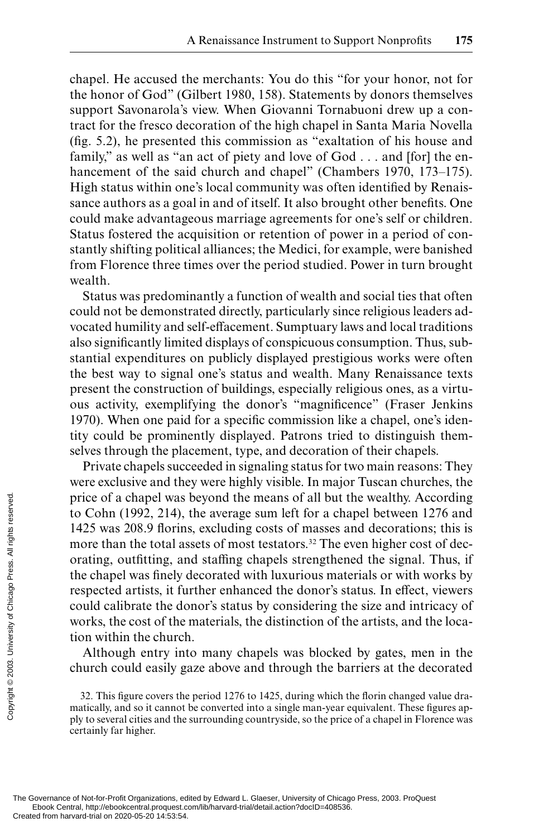chapel. He accused the merchants: You do this "for your honor, not for the honor of God" (Gilbert 1980, 158). Statements by donors themselves support Savonarola's view. When Giovanni Tornabuoni drew up a contract for the fresco decoration of the high chapel in Santa Maria Novella (fig. 5.2), he presented this commission as "exaltation of his house and family," as well as "an act of piety and love of God . . . and [for] the enhancement of the said church and chapel" (Chambers 1970, 173–175). High status within one's local community was often identified by Renaissance authors as a goal in and of itself. It also brought other benefits. One could make advantageous marriage agreements for one's self or children. Status fostered the acquisition or retention of power in a period of constantly shifting political alliances; the Medici, for example, were banished from Florence three times over the period studied. Power in turn brought wealth.

Status was predominantly a function of wealth and social ties that often could not be demonstrated directly, particularly since religious leaders advocated humility and self-effacement. Sumptuary laws and local traditions also significantly limited displays of conspicuous consumption. Thus, substantial expenditures on publicly displayed prestigious works were often the best way to signal one's status and wealth. Many Renaissance texts present the construction of buildings, especially religious ones, as a virtuous activity, exemplifying the donor's "magnificence" (Fraser Jenkins 1970). When one paid for a specific commission like a chapel, one's identity could be prominently displayed. Patrons tried to distinguish themselves through the placement, type, and decoration of their chapels.

Private chapels succeeded in signaling status for two main reasons: They were exclusive and they were highly visible. In major Tuscan churches, the price of a chapel was beyond the means of all but the wealthy. According to Cohn (1992, 214), the average sum left for a chapel between 1276 and 1425 was 208.9 florins, excluding costs of masses and decorations; this is more than the total assets of most testators.<sup>32</sup> The even higher cost of decorating, outfitting, and staffing chapels strengthened the signal. Thus, if the chapel was finely decorated with luxurious materials or with works by respected artists, it further enhanced the donor's status. In effect, viewers could calibrate the donor's status by considering the size and intricacy of works, the cost of the materials, the distinction of the artists, and the location within the church. Fraction 1992, 214),<br>  $\frac{1}{2}$  and 2020-0820 100 11992, 214),<br>  $\frac{1}{2}$  and  $\frac{1}{2}$  and  $\frac{1}{2}$  are the chapel was finely containing, and the chapel was finely correspected artists, it function within the church  $\frac$ 

Although entry into many chapels was blocked by gates, men in the church could easily gaze above and through the barriers at the decorated

<sup>32.</sup> This figure covers the period 1276 to 1425, during which the florin changed value dramatically, and so it cannot be converted into a single man-year equivalent. These figures apply to several cities and the surrounding countryside, so the price of a chapel in Florence was certainly far higher.

The Governance of Not-for-Profit Organizations, edited by Edward L. Glaeser, University of Chicago Press, 2003. ProQuest Ebook Central, http://ebookcentral.proquest.com/lib/harvard-trial/detail.action?docID=408536.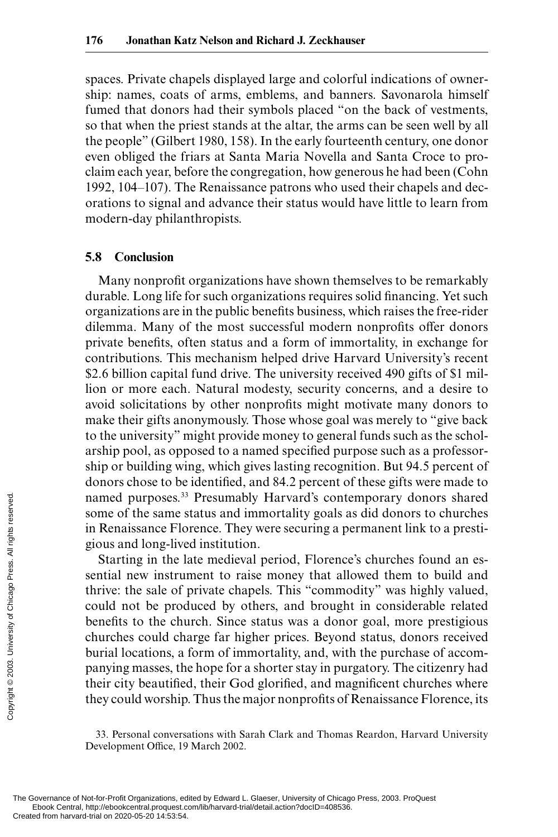spaces. Private chapels displayed large and colorful indications of ownership: names, coats of arms, emblems, and banners. Savonarola himself fumed that donors had their symbols placed "on the back of vestments, so that when the priest stands at the altar, the arms can be seen well by all the people" (Gilbert 1980, 158). In the early fourteenth century, one donor even obliged the friars at Santa Maria Novella and Santa Croce to proclaim each year, before the congregation, how generous he had been (Cohn 1992, 104–107). The Renaissance patrons who used their chapels and decorations to signal and advance their status would have little to learn from modern-day philanthropists.

#### **5.8 Conclusion**

Many nonprofit organizations have shown themselves to be remarkably durable. Long life for such organizations requires solid financing. Yet such organizations are in the public benefits business, which raises the free-rider dilemma. Many of the most successful modern nonprofits offer donors private benefits, often status and a form of immortality, in exchange for contributions. This mechanism helped drive Harvard University's recent \$2.6 billion capital fund drive. The university received 490 gifts of \$1 million or more each. Natural modesty, security concerns, and a desire to avoid solicitations by other nonprofits might motivate many donors to make their gifts anonymously. Those whose goal was merely to "give back to the university" might provide money to general funds such as the scholarship pool, as opposed to a named specified purpose such as a professorship or building wing, which gives lasting recognition. But 94.5 percent of donors chose to be identified, and 84.2 percent of these gifts were made to named purposes.<sup>33</sup> Presumably Harvard's contemporary donors shared some of the same status and immortality goals as did donors to churches in Renaissance Florence. They were securing a permanent link to a prestigious and long-lived institution.

Starting in the late medieval period, Florence's churches found an essential new instrument to raise money that allowed them to build and thrive: the sale of private chapels. This "commodity" was highly valued, could not be produced by others, and brought in considerable related benefits to the church. Since status was a donor goal, more prestigious churches could charge far higher prices. Beyond status, donors received burial locations, a form of immortality, and, with the purchase of accompanying masses, the hope for a shorter stay in purgatory. The citizenry had their city beautified, their God glorified, and magnificent churches where they could worship. Thus the major nonprofits of Renaissance Florence, its Example 1<br>
Some of the same s<br>
in Renaissance Flo<br>
gious and long-live<br>
Starting in the l:<br>
sential new instruu<br>
thrive: the sale of j<br>
could not be prod<br>
benefits to the chu<br>
churches could chia<br>
burial locations, a<br>
pan

33. Personal conversations with Sarah Clark and Thomas Reardon, Harvard University Development Office, 19 March 2002.

The Governance of Not-for-Profit Organizations, edited by Edward L. Glaeser, University of Chicago Press, 2003. ProQuest Ebook Central, http://ebookcentral.proquest.com/lib/harvard-trial/detail.action?docID=408536.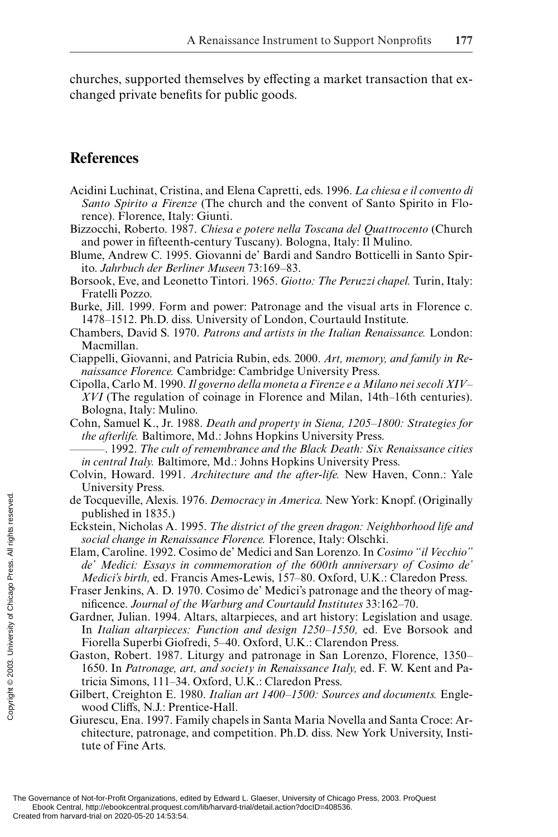churches, supported themselves by effecting a market transaction that exchanged private benefits for public goods.

# **References**

- Acidini Luchinat, Cristina, and Elena Capretti, eds. 1996. *La chiesa e il convento di Santo Spirito a Firenze* (The church and the convent of Santo Spirito in Florence). Florence, Italy: Giunti.
- Bizzocchi, Roberto. 1987. *Chiesa e potere nella Toscana del Quattrocento* (Church and power in fifteenth-century Tuscany). Bologna, Italy: Il Mulino.
- Blume, Andrew C. 1995. Giovanni de' Bardi and Sandro Botticelli in Santo Spirito. *Jahrbuch der Berliner Museen* 73:169–83.
- Borsook, Eve, and Leonetto Tintori. 1965. *Giotto: The Peruzzi chapel.* Turin, Italy: Fratelli Pozzo.
- Burke, Jill. 1999. Form and power: Patronage and the visual arts in Florence c. 1478–1512. Ph.D. diss. University of London, Courtauld Institute.
- Chambers, David S. 1970. *Patrons and artists in the Italian Renaissance.* London: Macmillan.
- Ciappelli, Giovanni, and Patricia Rubin, eds. 2000. *Art, memory, and family in Renaissance Florence.* Cambridge: Cambridge University Press.
- Cipolla, Carlo M. 1990. *Il governo della moneta a Firenze e a Milano nei secoli XIV– XVI* (The regulation of coinage in Florence and Milan, 14th–16th centuries). Bologna, Italy: Mulino.
- Cohn, Samuel K., Jr. 1988. *Death and property in Siena, 1205–1800: Strategies for the afterlife.* Baltimore, Md.: Johns Hopkins University Press.
- ———. 1992. *The cult of remembrance and the Black Death: Six Renaissance cities in central Italy.* Baltimore, Md.: Johns Hopkins University Press.
- Colvin, Howard. 1991. *Architecture and the after-life.* New Haven, Conn.: Yale University Press.
- de Tocqueville, Alexis. 1976. *Democracy in America.* New York: Knopf. (Originally published in 1835.)
- Eckstein, Nicholas A. 1995. *The district of the green dragon: Neighborhood life and social change in Renaissance Florence.* Florence, Italy: Olschki.
- Elam, Caroline. 1992. Cosimo de' Medici and San Lorenzo. In *Cosimo "il Vecchio" de' Medici: Essays in commemoration of the 600th anniversary of Cosimo de' Medici's birth,* ed. Francis Ames-Lewis, 157–80. Oxford, U.K.: Claredon Press.
- Fraser Jenkins, A. D. 1970. Cosimo de' Medici's patronage and the theory of magnificence. *Journal of the Warburg and Courtauld Institutes* 33:162–70.
- Gardner, Julian. 1994. Altars, altarpieces, and art history: Legislation and usage. In *Italian altarpieces: Function and design 1250–1550,* ed. Eve Borsook and Fiorella Superbi Giofredi, 5–40. Oxford, U.K.: Clarendon Press.
- Gaston, Robert. 1987. Liturgy and patronage in San Lorenzo, Florence, 1350– 1650. In *Patronage, art, and society in Renaissance Italy,* ed. F. W. Kent and Patricia Simons, 111–34. Oxford, U.K.: Claredon Press.
- Gilbert, Creighton E. 1980. *Italian art 1400–1500: Sources and documents.* Englewood Cliffs, N.J.: Prentice-Hall.
- Giurescu, Ena. 1997. Family chapels in Santa Maria Novella and Santa Croce: Architecture, patronage, and competition. Ph.D. diss. New York University, Institute of Fine Arts. Exercise the Created from Harvard-trial on 2020-05-201<br>
The Greenance of Not-for-Profit Organizations, etc.<br>
The Greenance of Not-for-Profit Organizations, etc.<br>
The Governance of Not-for-Profit Organizations, etc.<br>
The Go

The Governance of Not-for-Profit Organizations, edited by Edward L. Glaeser, University of Chicago Press, 2003. ProQuest Ebook Central, http://ebookcentral.proquest.com/lib/harvard-trial/detail.action?docID=408536.<br>Created from harvard-trial on 2020-05-20 14:53:54.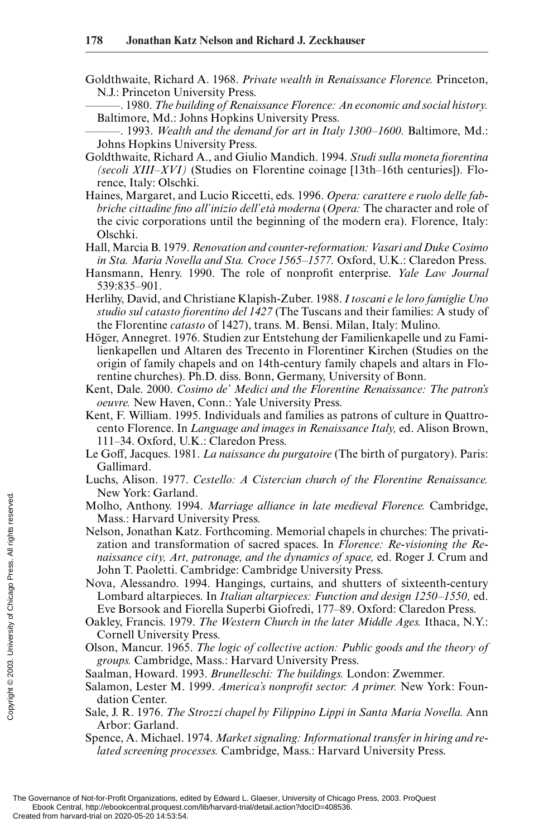- Goldthwaite, Richard A. 1968. *Private wealth in Renaissance Florence.* Princeton, N.J.: Princeton University Press.
- ———. 1980. *The building of Renaissance Florence: An economic and social history.* Baltimore, Md.: Johns Hopkins University Press.
- ———. 1993. *Wealth and the demand for art in Italy 1300–1600.* Baltimore, Md.: Johns Hopkins University Press.
- Goldthwaite, Richard A., and Giulio Mandich. 1994. *Studi sulla moneta fiorentina (secoli XIII–XVI)* (Studies on Florentine coinage [13th–16th centuries]). Florence, Italy: Olschki.
- Haines, Margaret, and Lucio Riccetti, eds. 1996. *Opera: carattere e ruolo delle fabbriche cittadine fino all'inizio dell'età moderna* (*Opera:* The character and role of the civic corporations until the beginning of the modern era). Florence, Italy: Olschki.
- Hall, Marcia B. 1979. *Renovation and counter-reformation: Vasari and Duke Cosimo in Sta. Maria Novella and Sta. Croce 1565–1577.* Oxford, U.K.: Claredon Press.
- Hansmann, Henry. 1990. The role of nonprofit enterprise. *Yale Law Journal* 539:835–901.
- Herlihy, David, and Christiane Klapish-Zuber. 1988. *I toscani e le loro famiglie Uno studio sul catasto fiorentino del 1427* (The Tuscans and their families: A study of the Florentine *catasto* of 1427), trans. M. Bensi. Milan, Italy: Mulino.
- Höger, Annegret. 1976. Studien zur Entstehung der Familienkapelle und zu Familienkapellen und Altaren des Trecento in Florentiner Kirchen (Studies on the origin of family chapels and on 14th-century family chapels and altars in Florentine churches). Ph.D. diss. Bonn, Germany, University of Bonn.
- Kent, Dale. 2000. *Cosimo de' Medici and the Florentine Renaissance: The patron's oeuvre.* New Haven, Conn.: Yale University Press.
- Kent, F. William. 1995. Individuals and families as patrons of culture in Quattrocento Florence. In *Language and images in Renaissance Italy,* ed. Alison Brown, 111–34. Oxford, U.K.: Claredon Press.
- Le Goff, Jacques. 1981. *La naissance du purgatoire* (The birth of purgatory). Paris: Gallimard.
- Luchs, Alison. 1977. *Cestello: A Cistercian church of the Florentine Renaissance.* New York: Garland.
- Molho, Anthony. 1994. *Marriage alliance in late medieval Florence.* Cambridge, Mass.: Harvard University Press.
- Nelson, Jonathan Katz. Forthcoming. Memorial chapels in churches: The privatization and transformation of sacred spaces. In *Florence: Re-visioning the Renaissance city, Art, patronage, and the dynamics of space,* ed. Roger J. Crum and John T. Paoletti. Cambridge: Cambridge University Press. Exercise the material on 2020-05-20<br>
The Greenance of Not-for-Profit Organizations, etc.<br>
The Greenance of Not-for-Profit Organizations, etc.<br>
The Greenance of Not-for-Profit Organizations, etc.<br>
The Greenance of Not-for-P
	- Nova, Alessandro. 1994. Hangings, curtains, and shutters of sixteenth-century Lombard altarpieces. In *Italian altarpieces: Function and design 1250–1550,* ed. Eve Borsook and Fiorella Superbi Giofredi, 177–89. Oxford: Claredon Press.
	- Oakley, Francis. 1979. *The Western Church in the later Middle Ages.* Ithaca, N.Y.: Cornell University Press.
	- Olson, Mancur. 1965. *The logic of collective action: Public goods and the theory of groups.* Cambridge, Mass.: Harvard University Press.
	- Saalman, Howard. 1993. *Brunelleschi: The buildings.* London: Zwemmer.
	- Salamon, Lester M. 1999. *America's nonprofit sector: A primer.* New York: Foundation Center.
	- Sale, J. R. 1976. *The Strozzi chapel by Filippino Lippi in Santa Maria Novella.* Ann Arbor: Garland.
	- Spence, A. Michael. 1974. *Market signaling: Informational transfer in hiring and related screening processes.* Cambridge, Mass.: Harvard University Press.

The Governance of Not-for-Profit Organizations, edited by Edward L. Glaeser, University of Chicago Press, 2003. ProQuest Ebook Central, http://ebookcentral.proquest.com/lib/harvard-trial/detail.action?docID=408536.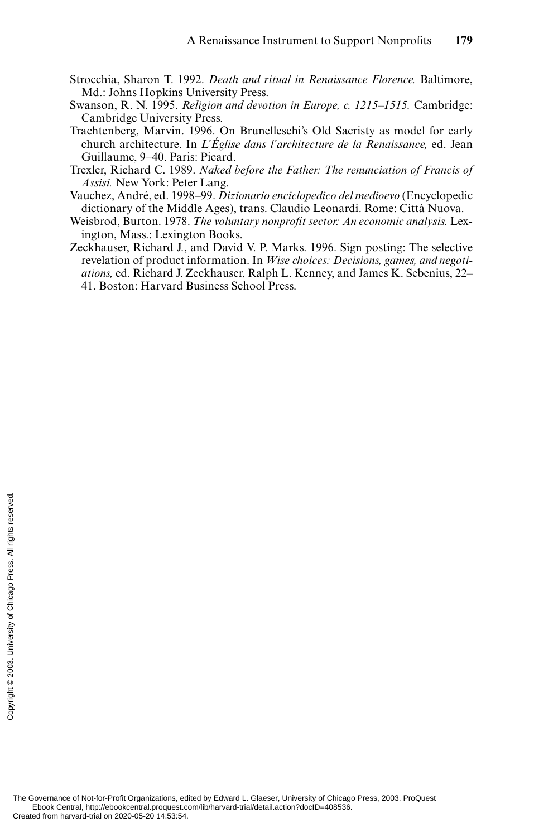- Strocchia, Sharon T. 1992. *Death and ritual in Renaissance Florence.* Baltimore, Md.: Johns Hopkins University Press.
- Swanson, R. N. 1995. *Religion and devotion in Europe, c. 1215–1515.* Cambridge: Cambridge University Press.
- Trachtenberg, Marvin. 1996. On Brunelleschi's Old Sacristy as model for early church architecture. In *L'Église dans l'architecture de la Renaissance,* ed. Jean Guillaume, 9–40. Paris: Picard.
- Trexler, Richard C. 1989. *Naked before the Father: The renunciation of Francis of Assisi.* New York: Peter Lang.
- Vauchez, André, ed. 1998–99. *Dizionario enciclopedico del medioevo* (Encyclopedic dictionary of the Middle Ages), trans. Claudio Leonardi. Rome: Città Nuova.
- Weisbrod, Burton. 1978. *The voluntary nonprofit sector: An economic analysis.* Lexington, Mass.: Lexington Books.
- Zeckhauser, Richard J., and David V. P. Marks. 1996. Sign posting: The selective revelation of product information. In *Wise choices: Decisions, games, and negotiations,* ed. Richard J. Zeckhauser, Ralph L. Kenney, and James K. Sebenius, 22– 41. Boston: Harvard Business School Press.